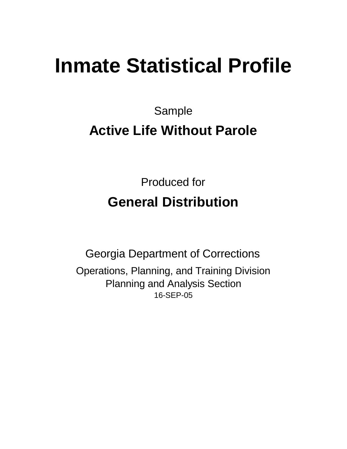# **Inmate Statistical Profile**

Sample

# **Active Life Without Parole**

Produced for **General Distribution**

16-SEP-05 Georgia Department of Corrections Operations, Planning, and Training Division Planning and Analysis Section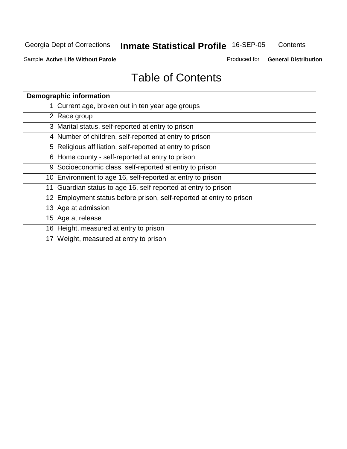**Contents** 

Sample **Active Life Without Parole**

Produced for **General Distribution**

| <b>Demographic information</b>                                       |
|----------------------------------------------------------------------|
| 1 Current age, broken out in ten year age groups                     |
| 2 Race group                                                         |
| 3 Marital status, self-reported at entry to prison                   |
| 4 Number of children, self-reported at entry to prison               |
| 5 Religious affiliation, self-reported at entry to prison            |
| 6 Home county - self-reported at entry to prison                     |
| 9 Socioeconomic class, self-reported at entry to prison              |
| 10 Environment to age 16, self-reported at entry to prison           |
| 11 Guardian status to age 16, self-reported at entry to prison       |
| 12 Employment status before prison, self-reported at entry to prison |
| 13 Age at admission                                                  |
| 15 Age at release                                                    |
| 16 Height, measured at entry to prison                               |
| 17 Weight, measured at entry to prison                               |
|                                                                      |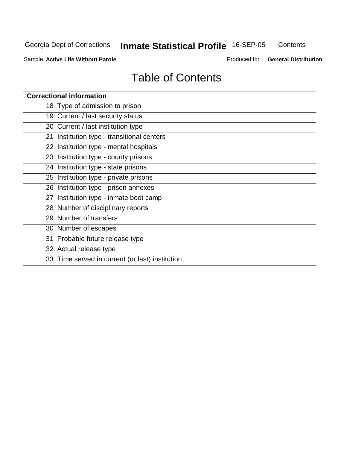**Contents** 

Sample **Active Life Without Parole**

Produced for **General Distribution**

| <b>Correctional information</b>                 |
|-------------------------------------------------|
| 18 Type of admission to prison                  |
| 19 Current / last security status               |
| 20 Current / last institution type              |
| 21 Institution type - transitional centers      |
| 22 Institution type - mental hospitals          |
| 23 Institution type - county prisons            |
| 24 Institution type - state prisons             |
| 25 Institution type - private prisons           |
| 26 Institution type - prison annexes            |
| 27 Institution type - inmate boot camp          |
| 28 Number of disciplinary reports               |
| 29 Number of transfers                          |
| 30 Number of escapes                            |
| 31 Probable future release type                 |
| 32 Actual release type                          |
| 33 Time served in current (or last) institution |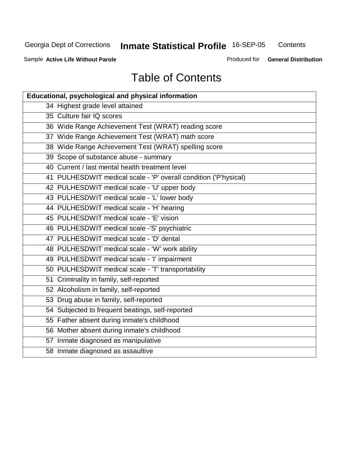**Contents** 

Sample **Active Life Without Parole**

Produced for **General Distribution**

| Educational, psychological and physical information              |
|------------------------------------------------------------------|
| 34 Highest grade level attained                                  |
| 35 Culture fair IQ scores                                        |
| 36 Wide Range Achievement Test (WRAT) reading score              |
| 37 Wide Range Achievement Test (WRAT) math score                 |
| 38 Wide Range Achievement Test (WRAT) spelling score             |
| 39 Scope of substance abuse - summary                            |
| 40 Current / last mental health treatment level                  |
| 41 PULHESDWIT medical scale - 'P' overall condition ('P'hysical) |
| 42 PULHESDWIT medical scale - 'U' upper body                     |
| 43 PULHESDWIT medical scale - 'L' lower body                     |
| 44 PULHESDWIT medical scale - 'H' hearing                        |
| 45 PULHESDWIT medical scale - 'E' vision                         |
| 46 PULHESDWIT medical scale -'S' psychiatric                     |
| 47 PULHESDWIT medical scale - 'D' dental                         |
| 48 PULHESDWIT medical scale - 'W' work ability                   |
| 49 PULHESDWIT medical scale - 'I' impairment                     |
| 50 PULHESDWIT medical scale - 'T' transportability               |
| 51 Criminality in family, self-reported                          |
| 52 Alcoholism in family, self-reported                           |
| 53 Drug abuse in family, self-reported                           |
| 54 Subjected to frequent beatings, self-reported                 |
| 55 Father absent during inmate's childhood                       |
| 56 Mother absent during inmate's childhood                       |
| 57 Inmate diagnosed as manipulative                              |
| 58 Inmate diagnosed as assaultive                                |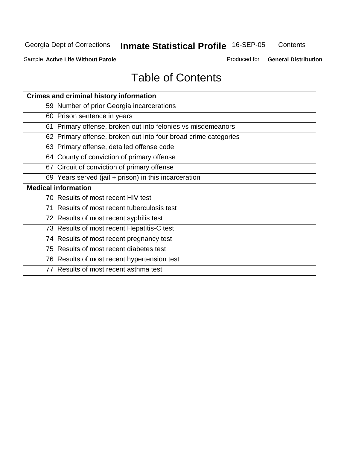**Contents** 

Sample **Active Life Without Parole**

Produced for **General Distribution**

| <b>Crimes and criminal history information</b>                  |
|-----------------------------------------------------------------|
| 59 Number of prior Georgia incarcerations                       |
| 60 Prison sentence in years                                     |
| 61 Primary offense, broken out into felonies vs misdemeanors    |
| 62 Primary offense, broken out into four broad crime categories |
| 63 Primary offense, detailed offense code                       |
| 64 County of conviction of primary offense                      |
| 67 Circuit of conviction of primary offense                     |
| 69 Years served (jail + prison) in this incarceration           |
| <b>Medical information</b>                                      |
| 70 Results of most recent HIV test                              |
| 71 Results of most recent tuberculosis test                     |
| 72 Results of most recent syphilis test                         |
| 73 Results of most recent Hepatitis-C test                      |
| 74 Results of most recent pregnancy test                        |
| 75 Results of most recent diabetes test                         |
| 76 Results of most recent hypertension test                     |
| 77 Results of most recent asthma test                           |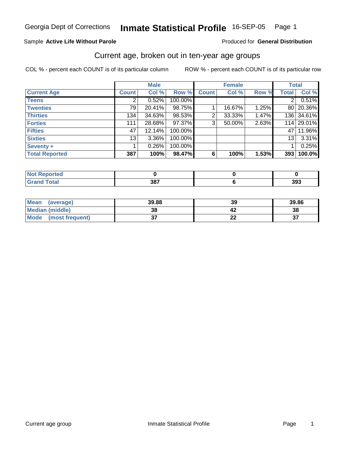#### Sample **Active Life Without Parole**

#### Produced for **General Distribution**

#### Current age, broken out in ten-year age groups

|                       |              | <b>Male</b> |         |              | <b>Female</b> |       | <b>Total</b>    |            |
|-----------------------|--------------|-------------|---------|--------------|---------------|-------|-----------------|------------|
| <b>Current Age</b>    | <b>Count</b> | Col %       | Row %   | <b>Count</b> | Col %         | Row % | <b>Total</b>    | Col %      |
| <b>Teens</b>          |              | 0.52%       | 100.00% |              |               |       | 2               | 0.51%      |
| <b>Twenties</b>       | 79           | 20.41%      | 98.75%  |              | 16.67%        | 1.25% | 80 I            | 20.36%     |
| <b>Thirties</b>       | 134          | 34.63%      | 98.53%  | 2            | 33.33%        | 1.47% |                 | 136 34.61% |
| <b>Forties</b>        | 111          | 28.68%      | 97.37%  | 3            | 50.00%        | 2.63% |                 | 114 29.01% |
| <b>Fifties</b>        | 47           | 12.14%      | 100.00% |              |               |       | 47 I            | 11.96%     |
| <b>Sixties</b>        | 13           | $3.36\%$    | 100.00% |              |               |       | 13 <sub>1</sub> | 3.31%      |
| Seventy +             |              | 0.26%       | 100.00% |              |               |       |                 | 0.25%      |
| <b>Total Reported</b> | 387          | 100%        | 98.47%  | 6            | 100%          | 1.53% | 393             | 100.0%     |

| w<br>τeα<br>. <b>.</b> |            |     |
|------------------------|------------|-----|
|                        | 207<br>JV. | 393 |

| Mean<br>(average)       | 39.88  | 39 | 39.86     |
|-------------------------|--------|----|-----------|
| Median (middle)         | 38     |    | 38        |
| Mode<br>(most frequent) | ົ<br>ູ | ∸∸ | $-$<br>ູບ |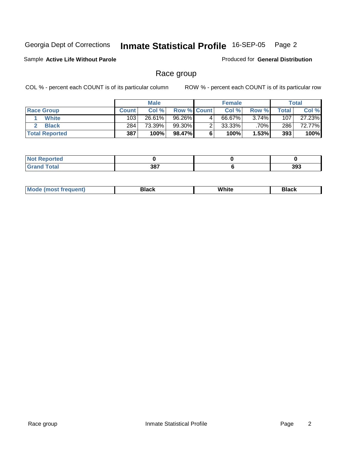Sample **Active Life Without Parole**

Produced for **General Distribution**

### Race group

|                       |              | <b>Male</b> |                    |   | <b>Female</b> |         |       | <b>Total</b> |
|-----------------------|--------------|-------------|--------------------|---|---------------|---------|-------|--------------|
| <b>Race Group</b>     | <b>Count</b> | Col %       | <b>Row % Count</b> |   | Col %         | Row %   | Total | Col %        |
| <b>White</b>          | 103          | 26.61%      | $96.26\%$          | 4 | 66.67%        | 3.74%   | 107   | 27.23%       |
| <b>Black</b>          | 284          | 73.39%      | 99.30%             |   | $33.33\%$     | $.70\%$ | 286   | 72.77%       |
| <b>Total Reported</b> | 387          | 100%        | 98.47%             |   | 100%          | 1.53%   | 393   | 100%         |

| <b>Not Reported</b><br>$\cdots$ |     |     |
|---------------------------------|-----|-----|
| $T = 4 - 1$                     | 387 | 393 |

| ' M∩<br>nuemn<br> | Black | White | 3lack |
|-------------------|-------|-------|-------|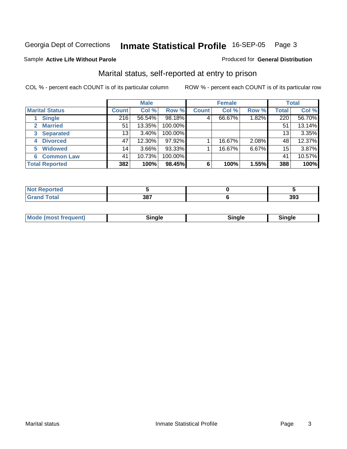#### Sample **Active Life Without Parole**

#### Produced for **General Distribution**

### Marital status, self-reported at entry to prison

|                        |              | <b>Male</b> |         |              | <b>Female</b> |       |              | <b>Total</b> |
|------------------------|--------------|-------------|---------|--------------|---------------|-------|--------------|--------------|
| <b>Marital Status</b>  | <b>Count</b> | Col %       | Row %   | <b>Count</b> | Col %         | Row % | <b>Total</b> | Col %        |
| <b>Single</b>          | 216          | 56.54%      | 98.18%  | 4            | 66.67%        | 1.82% | 220          | 56.70%       |
| <b>Married</b>         | 51           | 13.35%      | 100.00% |              |               |       | 51           | 13.14%       |
| <b>Separated</b><br>3  | 13           | 3.40%       | 100.00% |              |               |       | 13           | 3.35%        |
| <b>Divorced</b><br>4   | 47           | 12.30%      | 97.92%  |              | 16.67%        | 2.08% | 48           | 12.37%       |
| <b>Widowed</b><br>5    | 14           | $3.66\%$    | 93.33%  |              | 16.67%        | 6.67% | 15           | 3.87%        |
| <b>Common Law</b><br>6 | 41           | 10.73%      | 100.00% |              |               |       | 41           | 10.57%       |
| <b>Total Reported</b>  | 382          | 100%        | 98.45%  | 6            | 100%          | 1.55% | 388          | 100%         |

| .<br>тео |             |     |
|----------|-------------|-----|
| ______   | 207<br>JU I | 393 |

| <b>Mode</b><br>: (most frequent)<br>Sinale<br>∵nnl⊳∴<br>sınale<br>--- |
|-----------------------------------------------------------------------|
|-----------------------------------------------------------------------|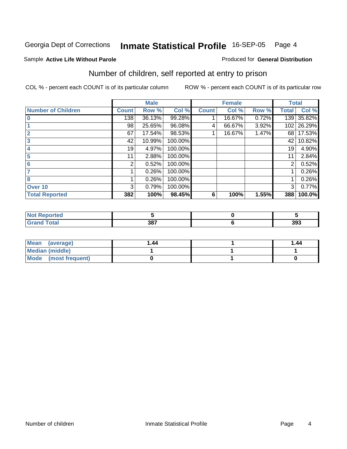#### Sample **Active Life Without Parole**

#### Produced for **General Distribution**

### Number of children, self reported at entry to prison

|                           |              | <b>Male</b> |         |              | <b>Female</b> |       | <b>Total</b> |        |
|---------------------------|--------------|-------------|---------|--------------|---------------|-------|--------------|--------|
| <b>Number of Children</b> | <b>Count</b> | Row %       | Col %   | <b>Count</b> | Col %         | Row % | <b>Total</b> | Col %  |
| $\bf{0}$                  | 138          | 36.13%      | 99.28%  |              | 16.67%        | 0.72% | 139          | 35.82% |
|                           | 98           | 25.65%      | 96.08%  | 4            | 66.67%        | 3.92% | 102          | 26.29% |
| $\overline{2}$            | 67           | 17.54%      | 98.53%  |              | 16.67%        | 1.47% | 68           | 17.53% |
| 3                         | 42           | 10.99%      | 100.00% |              |               |       | 42           | 10.82% |
| 4                         | 19           | 4.97%       | 100.00% |              |               |       | 19           | 4.90%  |
| 5                         | 11           | 2.88%       | 100.00% |              |               |       | 11           | 2.84%  |
| 6                         | 2            | 0.52%       | 100.00% |              |               |       | 2            | 0.52%  |
|                           |              | 0.26%       | 100.00% |              |               |       |              | 0.26%  |
| 8                         |              | 0.26%       | 100.00% |              |               |       |              | 0.26%  |
| Over 10                   | 3            | 0.79%       | 100.00% |              |               |       | 3            | 0.77%  |
| <b>Total Reported</b>     | 382          | 100%        | 98.45%  | 6            | 100%          | 1.55% | 388          | 100.0% |

| orted<br>NOT<br>en |     |     |
|--------------------|-----|-----|
|                    | 387 | 393 |

| Mean<br>(average)      | l .44 | 1.44 |
|------------------------|-------|------|
| <b>Median (middle)</b> |       |      |
| Mode (most frequent)   |       |      |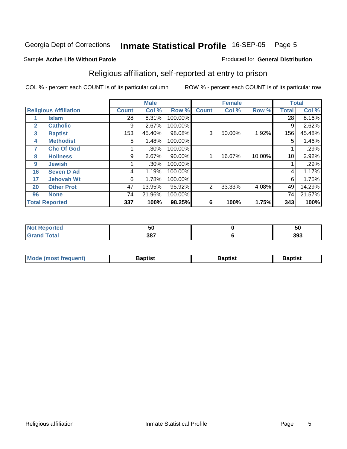#### Sample **Active Life Without Parole**

### Religious affiliation, self-reported at entry to prison

COL % - percent each COUNT is of its particular column ROW % - percent each COUNT is of its particular row

Produced for **General Distribution**

|              |                              |              | <b>Male</b> |         |              | <b>Female</b> |        |              | <b>Total</b> |
|--------------|------------------------------|--------------|-------------|---------|--------------|---------------|--------|--------------|--------------|
|              | <b>Religious Affiliation</b> | <b>Count</b> | Col %       | Row %   | <b>Count</b> | Col %         | Row %  | <b>Total</b> | Col %        |
|              | <b>Islam</b>                 | 28           | 8.31%       | 100.00% |              |               |        | 28           | 8.16%        |
| $\mathbf{2}$ | <b>Catholic</b>              | 9            | 2.67%       | 100.00% |              |               |        | 9            | 2.62%        |
| 3            | <b>Baptist</b>               | 153          | 45.40%      | 98.08%  | 3            | 50.00%        | 1.92%  | 156          | 45.48%       |
| 4            | <b>Methodist</b>             | 5            | 1.48%       | 100.00% |              |               |        | 5            | 1.46%        |
| 7            | <b>Chc Of God</b>            |              | .30%        | 100.00% |              |               |        |              | .29%         |
| 8            | <b>Holiness</b>              | 9            | 2.67%       | 90.00%  |              | 16.67%        | 10.00% | 10           | 2.92%        |
| 9            | <b>Jewish</b>                |              | .30%        | 100.00% |              |               |        |              | .29%         |
| 16           | <b>Seven D Ad</b>            | 4            | 1.19%       | 100.00% |              |               |        | 4            | 1.17%        |
| 17           | <b>Jehovah Wt</b>            | 6            | 1.78%       | 100.00% |              |               |        | 6            | 1.75%        |
| 20           | <b>Other Prot</b>            | 47           | 13.95%      | 95.92%  | 2            | 33.33%        | 4.08%  | 49           | 14.29%       |
| 96           | <b>None</b>                  | 74           | 21.96%      | 100.00% |              |               |        | 74           | 21.57%       |
|              | <b>Total Reported</b>        | 337          | 100%        | 98.25%  | 6            | 100%          | 1.75%  | 343          | 100%         |

| Reported     | --  | - - |
|--------------|-----|-----|
| <b>NOT</b>   | .JU | ას  |
| <b>Total</b> | 387 | 393 |

| <b>Mode (most frequent)</b> | Baptist | 3aptist | 3aptıst |
|-----------------------------|---------|---------|---------|
|                             |         |         |         |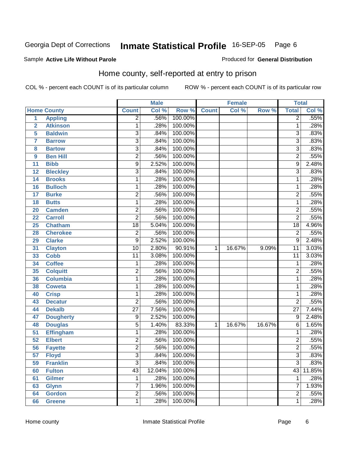#### Sample **Active Life Without Parole**

Produced for **General Distribution**

### Home county, self-reported at entry to prison

|                 |                    |                 | <b>Male</b> |         |              | <b>Female</b> |        | <b>Total</b>    |        |
|-----------------|--------------------|-----------------|-------------|---------|--------------|---------------|--------|-----------------|--------|
|                 | <b>Home County</b> | <b>Count</b>    | Col %       | Row %   | <b>Count</b> | Col %         | Row %  | <b>Total</b>    | Col %  |
| $\overline{1}$  | <b>Appling</b>     | $\overline{2}$  | .56%        | 100.00% |              |               |        | $\overline{2}$  | .55%   |
| $\overline{2}$  | <b>Atkinson</b>    | 1               | .28%        | 100.00% |              |               |        | 1               | .28%   |
| 5               | <b>Baldwin</b>     | 3               | .84%        | 100.00% |              |               |        | 3               | .83%   |
| $\overline{7}$  | <b>Barrow</b>      | $\overline{3}$  | .84%        | 100.00% |              |               |        | $\overline{3}$  | .83%   |
| 8               | <b>Bartow</b>      | $\overline{3}$  | .84%        | 100.00% |              |               |        | $\overline{3}$  | .83%   |
| 9               | <b>Ben Hill</b>    | $\overline{2}$  | .56%        | 100.00% |              |               |        | $\overline{2}$  | .55%   |
| 11              | <b>Bibb</b>        | $\overline{9}$  | 2.52%       | 100.00% |              |               |        | 9               | 2.48%  |
| 12              | <b>Bleckley</b>    | 3               | .84%        | 100.00% |              |               |        | $\overline{3}$  | .83%   |
| 14              | <b>Brooks</b>      | 1               | .28%        | 100.00% |              |               |        | 1               | .28%   |
| 16              | <b>Bulloch</b>     | 1               | .28%        | 100.00% |              |               |        | 1               | .28%   |
| 17              | <b>Burke</b>       | $\overline{2}$  | .56%        | 100.00% |              |               |        | $\overline{2}$  | .55%   |
| 18              | <b>Butts</b>       | 1               | .28%        | 100.00% |              |               |        | $\mathbf{1}$    | .28%   |
| 20              | <b>Camden</b>      | $\overline{2}$  | .56%        | 100.00% |              |               |        | $\overline{2}$  | .55%   |
| 22              | <b>Carroll</b>     | $\overline{2}$  | .56%        | 100.00% |              |               |        | $\overline{2}$  | .55%   |
| 25              | <b>Chatham</b>     | $\overline{18}$ | 5.04%       | 100.00% |              |               |        | $\overline{18}$ | 4.96%  |
| 28              | <b>Cherokee</b>    | $\overline{2}$  | .56%        | 100.00% |              |               |        | $\overline{2}$  | .55%   |
| 29              | <b>Clarke</b>      | 9               | 2.52%       | 100.00% |              |               |        | 9               | 2.48%  |
| 31              | <b>Clayton</b>     | $\overline{10}$ | 2.80%       | 90.91%  | 1            | 16.67%        | 9.09%  | $\overline{11}$ | 3.03%  |
| 33              | <b>Cobb</b>        | $\overline{11}$ | 3.08%       | 100.00% |              |               |        | $\overline{11}$ | 3.03%  |
| 34              | <b>Coffee</b>      | 1               | .28%        | 100.00% |              |               |        | $\mathbf{1}$    | .28%   |
| 35              | <b>Colquitt</b>    | $\overline{2}$  | .56%        | 100.00% |              |               |        | $\overline{2}$  | .55%   |
| 36              | <b>Columbia</b>    | 1               | .28%        | 100.00% |              |               |        | $\mathbf{1}$    | .28%   |
| 38              | <b>Coweta</b>      | 1               | .28%        | 100.00% |              |               |        | 1               | .28%   |
| 40              | <b>Crisp</b>       | 1               | .28%        | 100.00% |              |               |        | $\mathbf{1}$    | .28%   |
| 43              | <b>Decatur</b>     | $\overline{2}$  | .56%        | 100.00% |              |               |        | $\overline{2}$  | .55%   |
| 44              | <b>Dekalb</b>      | $\overline{27}$ | 7.56%       | 100.00% |              |               |        | $\overline{27}$ | 7.44%  |
| 47              | <b>Dougherty</b>   | 9               | 2.52%       | 100.00% |              |               |        | 9               | 2.48%  |
| 48              | <b>Douglas</b>     | $\overline{5}$  | 1.40%       | 83.33%  | $\mathbf{1}$ | 16.67%        | 16.67% | 6               | 1.65%  |
| $\overline{51}$ | <b>Effingham</b>   | 1               | .28%        | 100.00% |              |               |        | 1               | .28%   |
| $\overline{52}$ | <b>Elbert</b>      | 2               | .56%        | 100.00% |              |               |        | $\overline{2}$  | .55%   |
| $\overline{56}$ | <b>Fayette</b>     | $\overline{2}$  | .56%        | 100.00% |              |               |        | $\overline{2}$  | .55%   |
| 57              | <b>Floyd</b>       | 3               | .84%        | 100.00% |              |               |        | 3               | .83%   |
| 59              | <b>Franklin</b>    | $\overline{3}$  | .84%        | 100.00% |              |               |        | $\overline{3}$  | .83%   |
| 60              | <b>Fulton</b>      | $\overline{43}$ | 12.04%      | 100.00% |              |               |        | 43              | 11.85% |
| 61              | <b>Gilmer</b>      | 1               | .28%        | 100.00% |              |               |        | 1               | .28%   |
| 63              | <b>Glynn</b>       | 7               | 1.96%       | 100.00% |              |               |        | 7               | 1.93%  |
| 64              | <b>Gordon</b>      | $\overline{2}$  | .56%        | 100.00% |              |               |        | $\overline{2}$  | .55%   |
| 66              | <b>Greene</b>      | $\overline{1}$  | .28%        | 100.00% |              |               |        | $\mathbf 1$     | .28%   |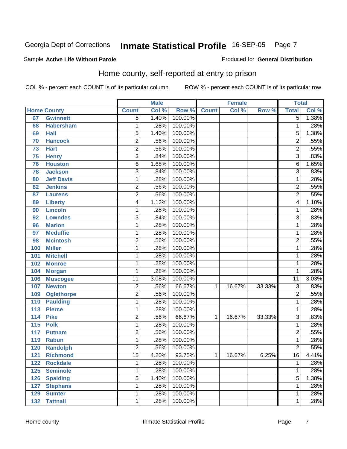#### Sample **Active Life Without Parole**

Produced for **General Distribution**

### Home county, self-reported at entry to prison

|                  |                    |                 | <b>Male</b> |         |              | <b>Female</b> |        | <b>Total</b>    |       |
|------------------|--------------------|-----------------|-------------|---------|--------------|---------------|--------|-----------------|-------|
|                  | <b>Home County</b> | <b>Count</b>    | Col %       | Row %   | <b>Count</b> | Col %         | Row %  | <b>Total</b>    | Col % |
| 67               | <b>Gwinnett</b>    | $\overline{5}$  | 1.40%       | 100.00% |              |               |        | $\overline{5}$  | 1.38% |
| 68               | <b>Habersham</b>   | 1               | .28%        | 100.00% |              |               |        | 1               | .28%  |
| 69               | <b>Hall</b>        | 5               | 1.40%       | 100.00% |              |               |        | 5               | 1.38% |
| 70               | <b>Hancock</b>     | $\overline{2}$  | .56%        | 100.00% |              |               |        | $\overline{2}$  | .55%  |
| 73               | <b>Hart</b>        | $\overline{2}$  | .56%        | 100.00% |              |               |        | $\overline{2}$  | .55%  |
| 75               | <b>Henry</b>       | $\overline{3}$  | .84%        | 100.00% |              |               |        | $\overline{3}$  | .83%  |
| 76               | <b>Houston</b>     | 6               | 1.68%       | 100.00% |              |               |        | 6               | 1.65% |
| 78               | <b>Jackson</b>     | $\overline{3}$  | .84%        | 100.00% |              |               |        | $\overline{3}$  | .83%  |
| 80               | <b>Jeff Davis</b>  | 1               | .28%        | 100.00% |              |               |        | 1               | .28%  |
| 82               | <b>Jenkins</b>     | 2               | .56%        | 100.00% |              |               |        | $\overline{2}$  | .55%  |
| 87               | <b>Laurens</b>     | $\overline{2}$  | .56%        | 100.00% |              |               |        | $\overline{2}$  | .55%  |
| 89               | <b>Liberty</b>     | $\overline{4}$  | 1.12%       | 100.00% |              |               |        | $\overline{4}$  | 1.10% |
| 90               | <b>Lincoln</b>     | 1               | .28%        | 100.00% |              |               |        | 1               | .28%  |
| 92               | <b>Lowndes</b>     | $\overline{3}$  | .84%        | 100.00% |              |               |        | $\overline{3}$  | .83%  |
| 96               | <b>Marion</b>      | 1               | .28%        | 100.00% |              |               |        | 1               | .28%  |
| 97               | <b>Mcduffie</b>    | 1               | .28%        | 100.00% |              |               |        | 1               | .28%  |
| 98               | <b>Mcintosh</b>    | $\overline{2}$  | .56%        | 100.00% |              |               |        | $\overline{2}$  | .55%  |
| 100              | <b>Miller</b>      | 1               | .28%        | 100.00% |              |               |        | 1               | .28%  |
| 101              | <b>Mitchell</b>    | 1               | .28%        | 100.00% |              |               |        | 1               | .28%  |
| 102              | <b>Monroe</b>      | 1               | .28%        | 100.00% |              |               |        | $\mathbf{1}$    | .28%  |
| 104              | <b>Morgan</b>      | 1               | .28%        | 100.00% |              |               |        | 1               | .28%  |
| 106              | <b>Muscogee</b>    | $\overline{11}$ | 3.08%       | 100.00% |              |               |        | $\overline{11}$ | 3.03% |
| 107              | <b>Newton</b>      | 2               | .56%        | 66.67%  | 1            | 16.67%        | 33.33% | 3               | .83%  |
| 109              | <b>Oglethorpe</b>  | $\overline{2}$  | .56%        | 100.00% |              |               |        | $\overline{2}$  | .55%  |
| 110              | <b>Paulding</b>    | 1               | .28%        | 100.00% |              |               |        | 1               | .28%  |
| 113              | <b>Pierce</b>      | 1               | .28%        | 100.00% |              |               |        | $\mathbf{1}$    | .28%  |
| 114              | <b>Pike</b>        | 2               | .56%        | 66.67%  | 1            | 16.67%        | 33.33% | $\overline{3}$  | .83%  |
| $\overline{115}$ | <b>Polk</b>        | 1               | .28%        | 100.00% |              |               |        | $\overline{1}$  | .28%  |
| 117              | <b>Putnam</b>      | $\overline{2}$  | .56%        | 100.00% |              |               |        | $\overline{2}$  | .55%  |
| 119              | <b>Rabun</b>       | 1               | .28%        | 100.00% |              |               |        | $\mathbf{1}$    | .28%  |
| 120              | <b>Randolph</b>    | $\overline{2}$  | .56%        | 100.00% |              |               |        | $\overline{2}$  | .55%  |
| 121              | <b>Richmond</b>    | $\overline{15}$ | 4.20%       | 93.75%  | $\mathbf{1}$ | 16.67%        | 6.25%  | $\overline{16}$ | 4.41% |
| 122              | <b>Rockdale</b>    | 1               | .28%        | 100.00% |              |               |        | 1               | .28%  |
| 125              | <b>Seminole</b>    | 1               | .28%        | 100.00% |              |               |        | $\mathbf 1$     | .28%  |
| 126              | <b>Spalding</b>    | 5               | 1.40%       | 100.00% |              |               |        | 5               | 1.38% |
| 127              | <b>Stephens</b>    | 1               | .28%        | 100.00% |              |               |        | 1               | .28%  |
| 129              | <b>Sumter</b>      | 1               | .28%        | 100.00% |              |               |        | 1               | .28%  |
| 132              | <b>Tattnall</b>    | 1               | .28%        | 100.00% |              |               |        | $\mathbf{1}$    | .28%  |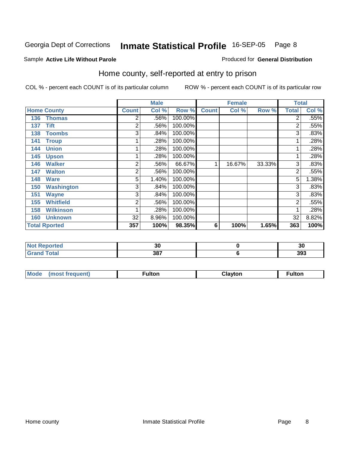#### Sample **Active Life Without Parole**

#### Produced for **General Distribution**

### Home county, self-reported at entry to prison

|     |                      |                | <b>Male</b> |         |              | <b>Female</b> |        | <b>Total</b>   |       |
|-----|----------------------|----------------|-------------|---------|--------------|---------------|--------|----------------|-------|
|     | <b>Home County</b>   | <b>Count</b>   | Col %       | Row %   | <b>Count</b> | Col %         | Row %  | <b>Total</b>   | Col % |
| 136 | <b>Thomas</b>        | 2              | .56%        | 100.00% |              |               |        | $\overline{2}$ | .55%  |
| 137 | <b>Tift</b>          | 2              | .56%        | 100.00% |              |               |        | 2              | .55%  |
| 138 | <b>Toombs</b>        | 3              | .84%        | 100.00% |              |               |        | 3              | .83%  |
| 141 | <b>Troup</b>         |                | .28%        | 100.00% |              |               |        | $\mathbf 1$    | .28%  |
| 144 | <b>Union</b>         |                | .28%        | 100.00% |              |               |        | 1              | .28%  |
| 145 | <b>Upson</b>         |                | .28%        | 100.00% |              |               |        | 4              | .28%  |
| 146 | <b>Walker</b>        | 2              | .56%        | 66.67%  | 1            | 16.67%        | 33.33% | 3              | .83%  |
| 147 | <b>Walton</b>        | 2              | .56%        | 100.00% |              |               |        | 2              | .55%  |
| 148 | <b>Ware</b>          | $\overline{5}$ | 1.40%       | 100.00% |              |               |        | 5              | 1.38% |
| 150 | <b>Washington</b>    | 3              | .84%        | 100.00% |              |               |        | 3              | .83%  |
| 151 | <b>Wayne</b>         | 3              | .84%        | 100.00% |              |               |        | 3              | .83%  |
| 155 | <b>Whitfield</b>     | 2              | .56%        | 100.00% |              |               |        | $\overline{2}$ | .55%  |
| 158 | <b>Wilkinson</b>     |                | .28%        | 100.00% |              |               |        |                | .28%  |
| 160 | <b>Unknown</b>       | 32             | 8.96%       | 100.00% |              |               |        | 32             | 8.82% |
|     | <b>Total Rported</b> | 357            | 100%        | 98.35%  | 6            | 100%          | 1.65%  | 363            | 100%  |

| τeς.    | $\ddot{\phantom{0}}$<br>งบ | 20<br>эu |
|---------|----------------------------|----------|
| _______ | 387<br>$  -$               | 393      |

| Mode<br>(most frequent) | <b>ultor</b> | <b>Clavton</b> | ulton |
|-------------------------|--------------|----------------|-------|
|-------------------------|--------------|----------------|-------|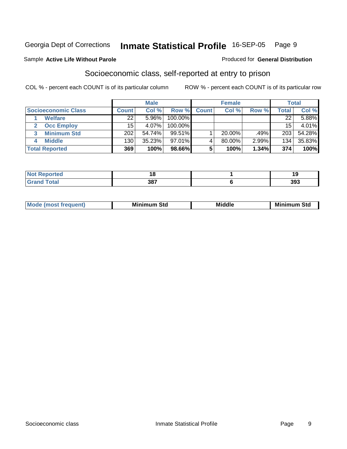#### Sample **Active Life Without Parole**

### Socioeconomic class, self-reported at entry to prison

COL % - percent each COUNT is of its particular column ROW % - percent each COUNT is of its particular row

|                            |                 | <b>Male</b> |            |              | <b>Female</b> |       |              | <b>Total</b> |
|----------------------------|-----------------|-------------|------------|--------------|---------------|-------|--------------|--------------|
| <b>Socioeconomic Class</b> | <b>Count</b>    | Col %       | Row %      | <b>Count</b> | Col %         | Row % | <b>Total</b> | Col %        |
| <b>Welfare</b>             | 22 <sub>1</sub> | 5.96%       | 100.00%    |              |               |       | 22           | 5.88%        |
| <b>Occ Employ</b>          | 15              | 4.07%       | $100.00\%$ |              |               |       | 15           | 4.01%        |
| <b>Minimum Std</b>         | 202             | 54.74%      | $99.51\%$  |              | 20.00%        | .49%  | 203          | 54.28%       |
| <b>Middle</b>              | 130             | 35.23%      | $97.01\%$  |              | 80.00%        | 2.99% | 134          | 35.83%       |
| <b>Total Reported</b>      | 369             | 100%        | 98.66%     |              | 100%          | 1.34% | 374          | 100%         |

| and an an<br>тео |     |     |
|------------------|-----|-----|
| $-1 - 1$         | 387 | 393 |

| Mir<br><b>Middle</b><br>Std<br>Std<br>Mını<br>___ |
|---------------------------------------------------|
|---------------------------------------------------|

Produced for **General Distribution**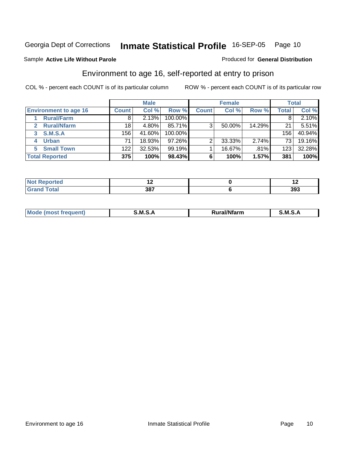#### Sample **Active Life Without Parole**

#### Produced for **General Distribution**

### Environment to age 16, self-reported at entry to prison

|                              |                  | <b>Male</b> |           |              | <b>Female</b> |        |       | <b>Total</b> |
|------------------------------|------------------|-------------|-----------|--------------|---------------|--------|-------|--------------|
| <b>Environment to age 16</b> | <b>Count</b>     | Col %       | Row %     | <b>Count</b> | Col %         | Row %  | Total | Col %        |
| <b>Rural/Farm</b>            | 8                | 2.13%       | 100.00%   |              |               |        |       | 2.10%        |
| <b>Rural/Nfarm</b>           | 18               | 4.80%       | 85.71%    | 3            | 50.00%        | 14.29% | 21    | 5.51%        |
| <b>S.M.S.A</b><br>3          | 156              | 41.60%      | 100.00%   |              |               |        | 156   | 40.94%       |
| <b>Urban</b>                 | 71               | 18.93%      | $97.26\%$ | っ            | 33.33%        | 2.74%  | 73    | 19.16%       |
| <b>Small Town</b><br>5.      | 122 <sub>1</sub> | 32.53%      | 99.19%    |              | 16.67%        | .81%   | 123   | 32.28%       |
| <b>Total Reported</b>        | 375              | 100%        | 98.43%    |              | 100%          | 1.57%  | 381   | 100%         |

| N <sub>O</sub><br><b>nted</b><br><b>START CONTROL</b> |     |     |
|-------------------------------------------------------|-----|-----|
| <b>Total</b><br>Crok                                  | 387 | 393 |

| M<br>.<br>---<br>s an A<br>.<br>.<br>M<br>M<br>-- |  |  |
|---------------------------------------------------|--|--|
|                                                   |  |  |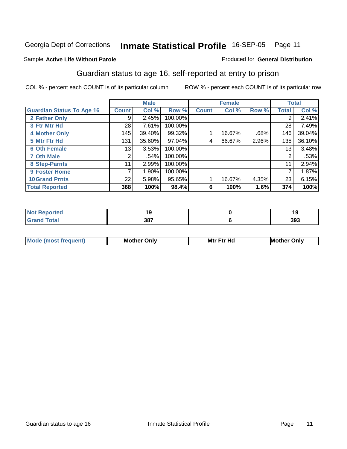#### Sample **Active Life Without Parole**

#### Produced for **General Distribution**

### Guardian status to age 16, self-reported at entry to prison

|                                  |                 | <b>Male</b> |         |              | <b>Female</b> |       |              | <b>Total</b> |
|----------------------------------|-----------------|-------------|---------|--------------|---------------|-------|--------------|--------------|
| <b>Guardian Status To Age 16</b> | Count           | Col %       | Row %   | <b>Count</b> | Col %         | Row % | <b>Total</b> | Col %        |
| 2 Father Only                    | 9               | 2.45%       | 100.00% |              |               |       | 9            | 2.41%        |
| 3 Ftr Mtr Hd                     | 28              | 7.61%       | 100.00% |              |               |       | 28           | 7.49%        |
| <b>4 Mother Only</b>             | 145             | 39.40%      | 99.32%  |              | 16.67%        | .68%  | 146          | 39.04%       |
| 5 Mtr Ftr Hd                     | 131             | 35.60%      | 97.04%  | 4            | 66.67%        | 2.96% | 135          | 36.10%       |
| <b>6 Oth Female</b>              | 13              | 3.53%       | 100.00% |              |               |       | 13           | 3.48%        |
| <b>7 Oth Male</b>                | $\overline{2}$  | .54%        | 100.00% |              |               |       | 2            | .53%         |
| 8 Step-Parnts                    | 11 <sub>1</sub> | 2.99%       | 100.00% |              |               |       | 11           | 2.94%        |
| 9 Foster Home                    | 7               | 1.90%       | 100.00% |              |               |       | 7            | 1.87%        |
| <b>10 Grand Prnts</b>            | 22              | 5.98%       | 95.65%  |              | 16.67%        | 4.35% | 23           | 6.15%        |
| <b>Total Reported</b>            | 368             | 100%        | 98.4%   | 6            | 100%          | 1.6%  | 374          | 100%         |

| <b>Continued in the Continued Inc.</b><br>тео |           |     |
|-----------------------------------------------|-----------|-----|
|                                               | 207<br>JΟ | 393 |

| <b>Mod</b> | <b>Mother</b><br>Onlv | Hc<br>. <u>.</u><br>Mtr | Only |
|------------|-----------------------|-------------------------|------|
|            |                       |                         |      |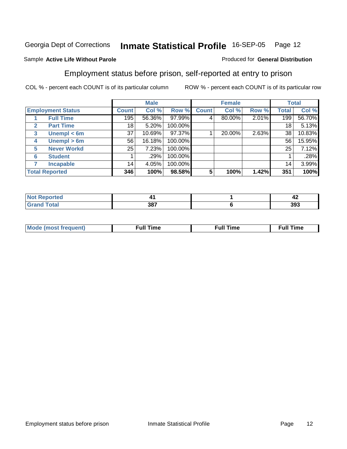#### Sample **Active Life Without Parole**

### Produced for **General Distribution**

#### Employment status before prison, self-reported at entry to prison

|                                  |       | <b>Male</b> |         |              | <b>Female</b> |       |                 | <b>Total</b> |
|----------------------------------|-------|-------------|---------|--------------|---------------|-------|-----------------|--------------|
| <b>Employment Status</b>         | Count | Col %       | Row %   | <b>Count</b> | Col %         | Row % | Total           | Col %        |
| <b>Full Time</b>                 | 195   | 56.36%      | 97.99%  | 4            | 80.00%        | 2.01% | 199             | 56.70%       |
| <b>Part Time</b><br>$\mathbf{2}$ | 18    | 5.20%       | 100.00% |              |               |       | 18              | 5.13%        |
| Unempl $<$ 6m<br>3               | 37    | 10.69%      | 97.37%  |              | 20.00%        | 2.63% | 38              | 10.83%       |
| Unempl $> 6m$<br>4               | 56    | 16.18%      | 100.00% |              |               |       | 56              | 15.95%       |
| <b>Never Workd</b><br>5          | 25    | 7.23%       | 100.00% |              |               |       | 25              | 7.12%        |
| <b>Student</b><br>6              |       | .29%        | 100.00% |              |               |       |                 | .28%         |
| <b>Incapable</b>                 | 14    | 4.05%       | 100.00% |              |               |       | 14 <sub>1</sub> | 3.99%        |
| <b>Total Reported</b>            | 346   | 100%        | 98.58%  | 5            | 100%          | 1.42% | 351             | 100%         |

| .<br>тео | . . | - -<br>л<br>- 4 |
|----------|-----|-----------------|
| _______  | 387 | 393             |

| <b>Moo.</b><br>ner | --<br>me<br>uı. | ™e | ïme |
|--------------------|-----------------|----|-----|
|                    |                 |    |     |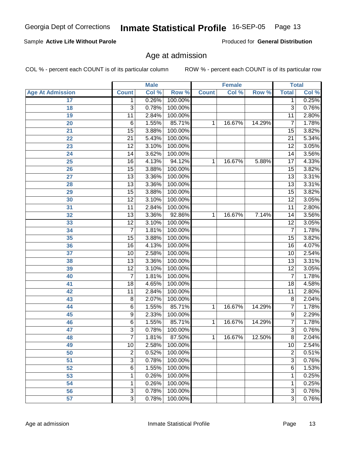**17**

| <b>Age At Admission</b> | <b>Count</b>    | Col % | Row %   | <b>Count</b> | Col %  | Row %  | <b>Total</b>    | Col % |
|-------------------------|-----------------|-------|---------|--------------|--------|--------|-----------------|-------|
| $\overline{17}$         | 1               | 0.26% | 100.00% |              |        |        | 1               | 0.25% |
| 18                      | $\overline{3}$  | 0.78% | 100.00% |              |        |        | $\overline{3}$  | 0.76% |
| 19                      | 11              | 2.84% | 100.00% |              |        |        | $\overline{11}$ | 2.80% |
| 20                      | $\overline{6}$  | 1.55% | 85.71%  | 1            | 16.67% | 14.29% | $\overline{7}$  | 1.78% |
| 21                      | $\overline{15}$ | 3.88% | 100.00% |              |        |        | 15              | 3.82% |
| 22                      | $\overline{21}$ | 5.43% | 100.00% |              |        |        | $\overline{21}$ | 5.34% |
| $\overline{23}$         | $\overline{12}$ | 3.10% | 100.00% |              |        |        | $\overline{12}$ | 3.05% |
| 24                      | $\overline{14}$ | 3.62% | 100.00% |              |        |        | $\overline{14}$ | 3.56% |
| 25                      | $\overline{16}$ | 4.13% | 94.12%  | 1            | 16.67% | 5.88%  | 17              | 4.33% |
| 26                      | $\overline{15}$ | 3.88% | 100.00% |              |        |        | $\overline{15}$ | 3.82% |
| 27                      | 13              | 3.36% | 100.00% |              |        |        | 13              | 3.31% |
| 28                      | $\overline{13}$ | 3.36% | 100.00% |              |        |        | $\overline{13}$ | 3.31% |
| 29                      | $\overline{15}$ | 3.88% | 100.00% |              |        |        | $\overline{15}$ | 3.82% |
| 30                      | $\overline{12}$ | 3.10% | 100.00% |              |        |        | $\overline{12}$ | 3.05% |
| 31                      | $\overline{11}$ | 2.84% | 100.00% |              |        |        | $\overline{11}$ | 2.80% |
| 32                      | $\overline{13}$ | 3.36% | 92.86%  | 1            | 16.67% | 7.14%  | $\overline{14}$ | 3.56% |
| 33                      | $\overline{12}$ | 3.10% | 100.00% |              |        |        | 12              | 3.05% |
| 34                      | $\overline{7}$  | 1.81% | 100.00% |              |        |        | $\overline{7}$  | 1.78% |
| 35                      | $\overline{15}$ | 3.88% | 100.00% |              |        |        | 15              | 3.82% |
| 36                      | $\overline{16}$ | 4.13% | 100.00% |              |        |        | $\overline{16}$ | 4.07% |
| 37                      | 10              | 2.58% | 100.00% |              |        |        | 10              | 2.54% |
| 38                      | $\overline{13}$ | 3.36% | 100.00% |              |        |        | $\overline{13}$ | 3.31% |
| 39                      | $\overline{12}$ | 3.10% | 100.00% |              |        |        | $\overline{12}$ | 3.05% |
| 40                      | $\overline{7}$  | 1.81% | 100.00% |              |        |        | $\overline{7}$  | 1.78% |
| 41                      | 18              | 4.65% | 100.00% |              |        |        | 18              | 4.58% |
| 42                      | $\overline{11}$ | 2.84% | 100.00% |              |        |        | $\overline{11}$ | 2.80% |
| 43                      | 8               | 2.07% | 100.00% |              |        |        | 8               | 2.04% |
| 44                      | $\overline{6}$  | 1.55% | 85.71%  | 1            | 16.67% | 14.29% | 7               | 1.78% |
| 45                      | $\overline{9}$  | 2.33% | 100.00% |              |        |        | 9               | 2.29% |
| 46                      | $\overline{6}$  | 1.55% | 85.71%  | $\mathbf{1}$ | 16.67% | 14.29% | $\overline{7}$  | 1.78% |
| 47                      | $\overline{3}$  | 0.78% | 100.00% |              |        |        | $\overline{3}$  | 0.76% |
| 48                      | $\overline{7}$  | 1.81% | 87.50%  | 1            | 16.67% | 12.50% | $\overline{8}$  | 2.04% |
| 49                      | 10              | 2.58% | 100.00% |              |        |        | 10              | 2.54% |
| 50                      | $\overline{2}$  | 0.52% | 100.00% |              |        |        | $\overline{2}$  | 0.51% |
| $\overline{51}$         | $\overline{3}$  | 0.78% | 100.00% |              |        |        | $\overline{3}$  | 0.76% |
| 52                      | $\overline{6}$  | 1.55% | 100.00% |              |        |        | $\overline{6}$  | 1.53% |
| 53                      | 1               | 0.26% | 100.00% |              |        |        | 1               | 0.25% |
| $\overline{54}$         | 1               | 0.26% | 100.00% |              |        |        | 1               | 0.25% |
| 56                      | $\overline{3}$  | 0.78% | 100.00% |              |        |        | $\overline{3}$  | 0.76% |
| 57                      | $\overline{3}$  | 0.78% | 100.00% |              |        |        | $\overline{3}$  | 0.76% |

#### Sample **Active Life Without Parole**

Produced for **General Distribution**

**Female Total**

### Age at admission

COL % - percent each COUNT is of its particular column ROW % - percent each COUNT is of its particular row

**Male**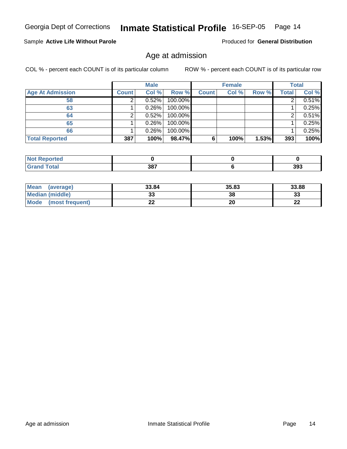#### Sample **Active Life Without Parole**

Produced for **General Distribution**

### Age at admission

|                         |              | <b>Male</b> |         |              | <b>Female</b> |       |              | <b>Total</b> |
|-------------------------|--------------|-------------|---------|--------------|---------------|-------|--------------|--------------|
| <b>Age At Admission</b> | <b>Count</b> | Col %       | Row %   | <b>Count</b> | Col %         | Row % | <b>Total</b> | Col %        |
| 58                      |              | 0.52%       | 100.00% |              |               |       |              | 0.51%        |
| 63                      |              | 0.26%       | 100.00% |              |               |       |              | 0.25%        |
| 64                      |              | 0.52%       | 100.00% |              |               |       |              | 0.51%        |
| 65                      |              | 0.26%       | 100.00% |              |               |       |              | 0.25%        |
| 66                      |              | 0.26%       | 100.00% |              |               |       |              | 0.25%        |
| <b>Total Reported</b>   | 387          | 100%        | 98.47%  | 6            | 100%          | 1.53% | 393          | 100%         |

| ومراجع والمناور<br>rtea<br>∴≂⊾ikepr≝<br>. |           |     |
|-------------------------------------------|-----------|-----|
| $\sim$                                    | 207<br>__ | 393 |

| Mean<br>(average)       | 33.84 | 35.83 | 33.88     |
|-------------------------|-------|-------|-----------|
| Median (middle)         | JJ    | 38    | ົ<br>ند   |
| Mode<br>(most frequent) | --    | 20    | ne.<br>LL |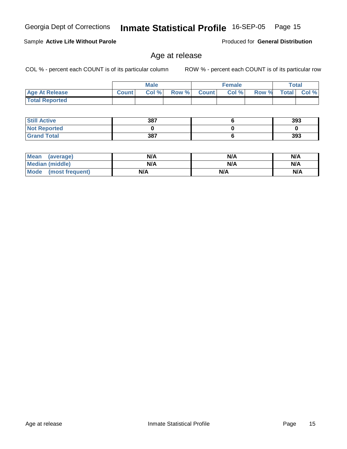#### Sample **Active Life Without Parole**

Age at release

COL % - percent each COUNT is of its particular column ROW % - percent each COUNT is of its particular row

|                       |              | <b>Male</b> |             | <b>Female</b> |       |              | Total         |
|-----------------------|--------------|-------------|-------------|---------------|-------|--------------|---------------|
| <b>Age At Release</b> | <b>Count</b> | Col %       | Row % Count | Col %         | Row % | <b>Total</b> | $ $ Col % $ $ |
| <b>Total Reported</b> |              |             |             |               |       |              |               |

| <b>Still Active</b> | 387 | 393 |
|---------------------|-----|-----|
| <b>Not Reported</b> |     |     |
| <b>Grand Total</b>  | 387 | 393 |

| <b>Mean</b><br>(average) | N/A | N/A | N/A |
|--------------------------|-----|-----|-----|
| <b>Median (middle)</b>   | N/A | N/A | N/A |
| Mode (most frequent)     | N/A | N/A | N/A |

Produced for **General Distribution**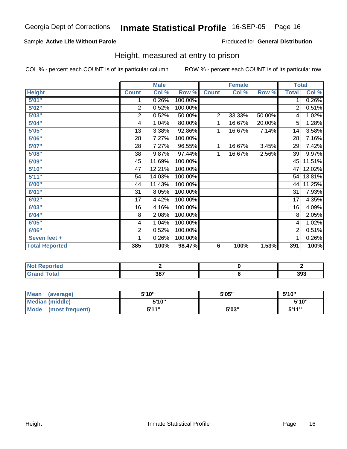#### Sample **Active Life Without Parole**

Produced for **General Distribution**

### Height, measured at entry to prison

|                       |                | <b>Male</b> |         |                | <b>Female</b> |        |              | <b>Total</b> |
|-----------------------|----------------|-------------|---------|----------------|---------------|--------|--------------|--------------|
| <b>Height</b>         | <b>Count</b>   | Col %       | Row %   | <b>Count</b>   | Col %         | Row %  | <b>Total</b> | Col %        |
| 5'01''                | 1              | 0.26%       | 100.00% |                |               |        | 1.           | 0.26%        |
| 5'02''                | 2              | 0.52%       | 100.00% |                |               |        | 2            | 0.51%        |
| 5'03''                | $\overline{c}$ | 0.52%       | 50.00%  | $\overline{2}$ | 33.33%        | 50.00% | 4            | 1.02%        |
| 5'04"                 | 4              | 1.04%       | 80.00%  | 1              | 16.67%        | 20.00% | 5            | 1.28%        |
| 5'05"                 | 13             | 3.38%       | 92.86%  | 1              | 16.67%        | 7.14%  | 14           | 3.58%        |
| 5'06"                 | 28             | 7.27%       | 100.00% |                |               |        | 28           | 7.16%        |
| 5'07''                | 28             | 7.27%       | 96.55%  | 1              | 16.67%        | 3.45%  | 29           | 7.42%        |
| 5'08"                 | 38             | 9.87%       | 97.44%  | 1              | 16.67%        | 2.56%  | 39           | 9.97%        |
| 5'09"                 | 45             | 11.69%      | 100.00% |                |               |        | 45           | 11.51%       |
| 5'10''                | 47             | 12.21%      | 100.00% |                |               |        | 47           | 12.02%       |
| 5'11"                 | 54             | 14.03%      | 100.00% |                |               |        | 54           | 13.81%       |
| 6'00"                 | 44             | 11.43%      | 100.00% |                |               |        | 44           | 11.25%       |
| 6'01"                 | 31             | 8.05%       | 100.00% |                |               |        | 31           | 7.93%        |
| 6'02"                 | 17             | 4.42%       | 100.00% |                |               |        | 17           | 4.35%        |
| 6'03"                 | 16             | 4.16%       | 100.00% |                |               |        | 16           | 4.09%        |
| 6'04"                 | 8              | 2.08%       | 100.00% |                |               |        | 8            | 2.05%        |
| 6'05''                | 4              | 1.04%       | 100.00% |                |               |        | 4            | 1.02%        |
| 6'06"                 | $\overline{c}$ | 0.52%       | 100.00% |                |               |        | 2            | 0.51%        |
| Seven feet +          | 1              | 0.26%       | 100.00% |                |               |        | 1            | 0.26%        |
| <b>Total Reported</b> | 385            | 100%        | 98.47%  | 6              | 100%          | 1.53%  | 391          | 100%         |

| rtea                               |                    |     |
|------------------------------------|--------------------|-----|
| $\sim$ $\sim$ $\sim$ $\sim$ $\sim$ | 207<br><b>ა</b> or | 393 |

| Mean<br>(average)       | 5'10" | 5'05" | 5'10"        |
|-------------------------|-------|-------|--------------|
| Median (middle)         | 5'10" |       | 5'10"        |
| Mode<br>(most frequent) | 5'11" | 5'03" | <b>K'11"</b> |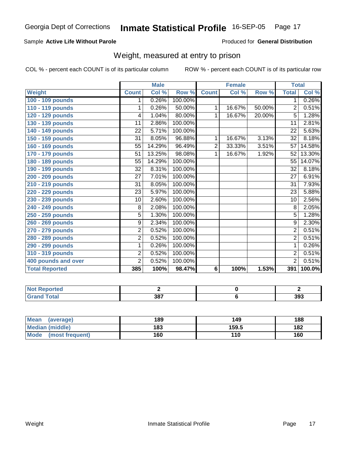#### Sample **Active Life Without Parole**

Produced for **General Distribution**

#### Weight, measured at entry to prison

|                       |                 | <b>Male</b> |         |                | <b>Female</b> |        | <b>Total</b>    |           |
|-----------------------|-----------------|-------------|---------|----------------|---------------|--------|-----------------|-----------|
| Weight                | <b>Count</b>    | Col %       | Row %   | <b>Count</b>   | Col %         | Row %  | <b>Total</b>    | Col %     |
| 100 - 109 pounds      | 1               | 0.26%       | 100.00% |                |               |        | 1.              | 0.26%     |
| 110 - 119 pounds      | 1               | 0.26%       | 50.00%  | 1              | 16.67%        | 50.00% | $\overline{2}$  | 0.51%     |
| 120 - 129 pounds      | 4               | 1.04%       | 80.00%  | 1              | 16.67%        | 20.00% | 5               | 1.28%     |
| 130 - 139 pounds      | 11              | 2.86%       | 100.00% |                |               |        | 11              | 2.81%     |
| 140 - 149 pounds      | $\overline{22}$ | 5.71%       | 100.00% |                |               |        | $\overline{22}$ | 5.63%     |
| 150 - 159 pounds      | 31              | 8.05%       | 96.88%  | 1              | 16.67%        | 3.13%  | 32              | 8.18%     |
| 160 - 169 pounds      | 55              | 14.29%      | 96.49%  | $\overline{2}$ | 33.33%        | 3.51%  | 57              | 14.58%    |
| 170 - 179 pounds      | 51              | 13.25%      | 98.08%  | 1              | 16.67%        | 1.92%  | 52              | 13.30%    |
| 180 - 189 pounds      | $\overline{55}$ | 14.29%      | 100.00% |                |               |        | $\overline{55}$ | 14.07%    |
| 190 - 199 pounds      | $\overline{32}$ | 8.31%       | 100.00% |                |               |        | $\overline{32}$ | 8.18%     |
| 200 - 209 pounds      | 27              | 7.01%       | 100.00% |                |               |        | 27              | 6.91%     |
| 210 - 219 pounds      | $\overline{31}$ | 8.05%       | 100.00% |                |               |        | $\overline{31}$ | 7.93%     |
| 220 - 229 pounds      | 23              | 5.97%       | 100.00% |                |               |        | 23              | 5.88%     |
| 230 - 239 pounds      | 10              | 2.60%       | 100.00% |                |               |        | 10              | 2.56%     |
| 240 - 249 pounds      | 8               | 2.08%       | 100.00% |                |               |        | $\overline{8}$  | 2.05%     |
| 250 - 259 pounds      | 5               | 1.30%       | 100.00% |                |               |        | 5               | 1.28%     |
| 260 - 269 pounds      | 9               | 2.34%       | 100.00% |                |               |        | $\overline{9}$  | 2.30%     |
| 270 - 279 pounds      | $\overline{2}$  | 0.52%       | 100.00% |                |               |        | $\overline{2}$  | 0.51%     |
| 280 - 289 pounds      | $\overline{2}$  | 0.52%       | 100.00% |                |               |        | $\overline{2}$  | 0.51%     |
| 290 - 299 pounds      | 1               | 0.26%       | 100.00% |                |               |        | 1               | 0.26%     |
| 310 - 319 pounds      | $\overline{2}$  | 0.52%       | 100.00% |                |               |        | 2               | 0.51%     |
| 400 pounds and over   | $\overline{2}$  | 0.52%       | 100.00% |                |               |        | $\overline{2}$  | 0.51%     |
| <b>Total Reported</b> | 385             | 100%        | 98.47%  | 6              | 100%          | 1.53%  | 391             | $100.0\%$ |

| ported<br>u           |     |     |
|-----------------------|-----|-----|
| <b>otal</b><br>$\sim$ | 207 | 393 |

| Mean<br>(average)       | 189 | 149   | 188 |
|-------------------------|-----|-------|-----|
| <b>Median (middle)</b>  | 183 | 159.5 | 182 |
| Mode<br>(most frequent) | 160 | 110   | 160 |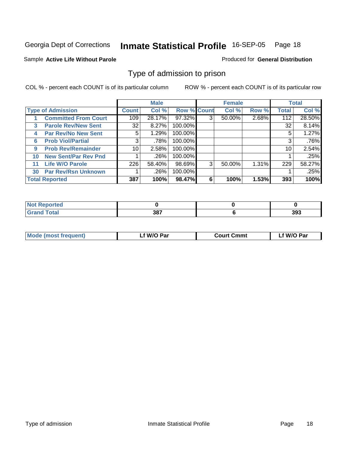#### Sample **Active Life Without Parole**

#### Produced for **General Distribution**

### Type of admission to prison

|    |                             |       | <b>Male</b> |                    |   | <b>Female</b> |       |              | <b>Total</b> |
|----|-----------------------------|-------|-------------|--------------------|---|---------------|-------|--------------|--------------|
|    | <b>Type of Admission</b>    | Count | Col %       | <b>Row % Count</b> |   | Col %         | Row % | <b>Total</b> | Col %        |
|    | <b>Committed From Court</b> | 109   | 28.17%      | 97.32%             | 3 | 50.00%        | 2.68% | 112          | 28.50%       |
| 3  | <b>Parole Rev/New Sent</b>  | 32    | 8.27%       | 100.00%            |   |               |       | 32           | 8.14%        |
| 4  | <b>Par Rev/No New Sent</b>  | 5.    | 1.29%       | 100.00%            |   |               |       | 5            | 1.27%        |
| 6  | <b>Prob Viol/Partial</b>    | 3     | .78%        | 100.00%            |   |               |       | 3            | .76%         |
| 9  | <b>Prob Rev/Remainder</b>   | 10    | 2.58%       | 100.00%            |   |               |       | 10           | 2.54%        |
| 10 | <b>New Sent/Par Rev Pnd</b> |       | .26%        | 100.00%            |   |               |       |              | .25%         |
| 11 | <b>Life W/O Parole</b>      | 226   | 58.40%      | 98.69%             | 3 | 50.00%        | 1.31% | 229          | 58.27%       |
| 30 | <b>Par Rev/Rsn Unknown</b>  |       | .26%        | 100.00%            |   |               |       |              | .25%         |
|    | <b>Total Reported</b>       | 387   | 100%        | 98.47%             | 6 | 100%          | 1.53% | 393          | 100%         |

| ported?                        |             |     |
|--------------------------------|-------------|-----|
| <b>Total</b><br>Cror<br>$\sim$ | 207<br>JO L | 393 |

| <b>Mode (most frequent)</b> | f W/O Par | <b>Court Cmmt</b> | 'W/O Par |
|-----------------------------|-----------|-------------------|----------|
|                             |           |                   |          |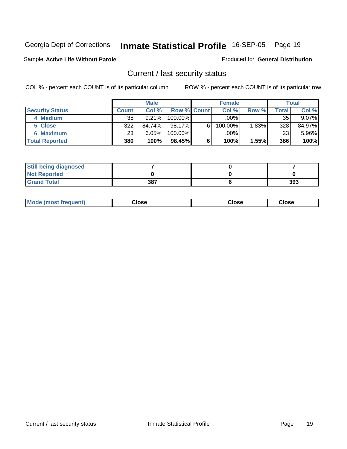#### Sample **Active Life Without Parole**

#### Produced for **General Distribution**

### Current / last security status

|                        |              | <b>Male</b> |                    |   | <b>Female</b> |          |       | <b>Total</b> |
|------------------------|--------------|-------------|--------------------|---|---------------|----------|-------|--------------|
| <b>Security Status</b> | <b>Count</b> | Col %       | <b>Row % Count</b> |   | Col %         | Row %    | Total | Col %        |
| 4 Medium               | 35           | 9.21%       | $100.00\%$         |   | .00%          |          | 35    | $9.07\%$     |
| 5 Close                | 322          | 84.74%      | $98.17\%$          | 6 | 100.00%       | $1.83\%$ | 328   | 84.97%       |
| 6 Maximum              | 23           | 6.05%       | 100.00%            |   | .00%          |          | 23    | 5.96%        |
| <b>Total Reported</b>  | 380          | 100%        | 98.45%             | 6 | 100%          | 1.55%    | 386   | 100%         |

| <b>Still being diagnosed</b> |     |     |
|------------------------------|-----|-----|
| <b>Not Reported</b>          |     |     |
| <b>Grand Total</b>           | 387 | 393 |

| <b>Mode (most frequent)</b> | oseٺ | ;lose | Close |
|-----------------------------|------|-------|-------|
|                             |      |       |       |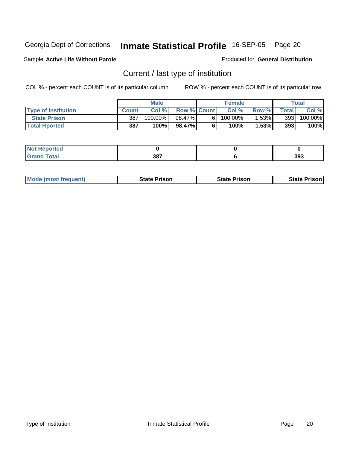Sample **Active Life Without Parole**

#### Produced for **General Distribution**

### Current / last type of institution

|                            |              | <b>Male</b> |                    |    | <b>Female</b> |          |       | Total                 |
|----------------------------|--------------|-------------|--------------------|----|---------------|----------|-------|-----------------------|
| <b>Type of Institution</b> | <b>Count</b> | Col %       | <b>Row % Count</b> |    | Col %         | Row %    | Total | Col %                 |
| <b>State Prison</b>        | 387          | 100.00%     | 98.47%             | 61 | $100.00\%$    | $1.53\%$ | 393   | $100.\overline{00\%}$ |
| <b>Total Rported</b>       | 387          | <b>100%</b> | 98.47%             |    | $100\%$       | 1.53%    | 393   | 100%                  |

| <b>Reported</b><br>'N (<br>. |             |     |
|------------------------------|-------------|-----|
| <b>ota</b>                   | 287<br>JO I | 393 |

|  | <b>Mode (most frequent)</b> | <b>State Prison</b> | <b>State Prison</b> | <b>State Prison</b> |
|--|-----------------------------|---------------------|---------------------|---------------------|
|--|-----------------------------|---------------------|---------------------|---------------------|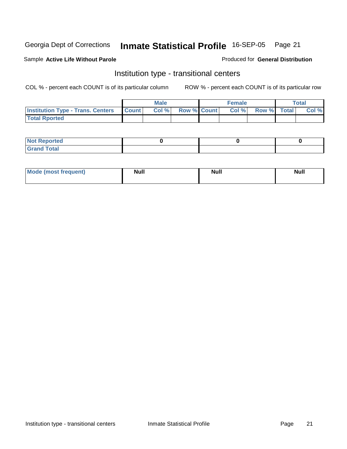#### Sample **Active Life Without Parole**

#### Produced for **General Distribution**

### Institution type - transitional centers

|                                                | <b>Male</b> |                    | <b>Female</b> |                    | <b>Total</b> |
|------------------------------------------------|-------------|--------------------|---------------|--------------------|--------------|
| <b>Institution Type - Trans. Centers Count</b> | Col %       | <b>Row % Count</b> | Col%          | <b>Row % Total</b> | Col %        |
| <b>Total Rported</b>                           |             |                    |               |                    |              |

| <b>Not Reported</b>                       |  |  |
|-------------------------------------------|--|--|
| <b>Total</b><br>Gr <sub>2</sub><br>$\sim$ |  |  |

| Mode (most frequent) | <b>Null</b> | <b>Null</b> | <b>Null</b> |
|----------------------|-------------|-------------|-------------|
|                      |             |             |             |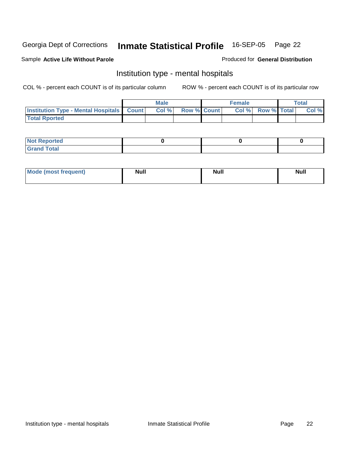Produced for **General Distribution**

#### Sample **Active Life Without Parole**

### Institution type - mental hospitals

|                                                  | <b>Male</b> |                    | <b>Female</b> |                    | Total |
|--------------------------------------------------|-------------|--------------------|---------------|--------------------|-------|
| <b>Institution Type - Mental Hospitals Count</b> | Col %       | <b>Row % Count</b> | Col %         | <b>Row % Total</b> | Col % |
| <b>Total Rported</b>                             |             |                    |               |                    |       |

| <b>Not Reported</b> |  |  |
|---------------------|--|--|
| <b>Total</b><br>r.  |  |  |

| Mode (most frequent) | <b>Null</b> | <b>Null</b> | <b>Null</b> |
|----------------------|-------------|-------------|-------------|
|                      |             |             |             |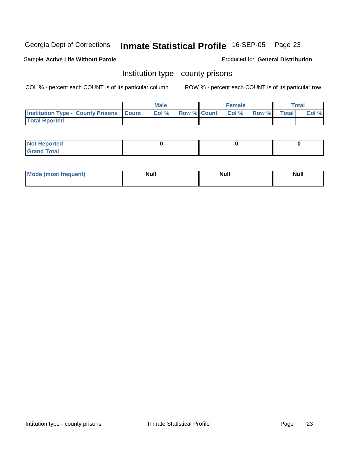#### Sample **Active Life Without Parole**

#### Produced for **General Distribution**

### Institution type - county prisons

|                                                    | <b>Male</b> |  | <b>Female</b>     |       |              | $\tau$ otal |
|----------------------------------------------------|-------------|--|-------------------|-------|--------------|-------------|
| <b>Institution Type - County Prisons   Count  </b> | Col %       |  | Row % Count Col % | Row % | <b>Total</b> | Col %       |
| <b>Total Rported</b>                               |             |  |                   |       |              |             |

| <b>Not Reported</b>                                     |  |  |
|---------------------------------------------------------|--|--|
| <b>Total</b><br><b>Grat</b><br>$\sim$ . $\sim$ . $\sim$ |  |  |

| <b>Mode (most frequent)</b> | Null | Null | <b>Null</b> |
|-----------------------------|------|------|-------------|
|                             |      |      |             |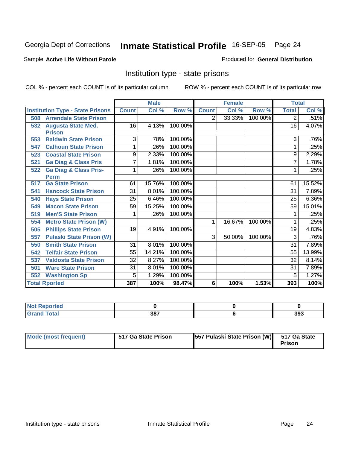#### Sample **Active Life Without Parole**

#### Produced for **General Distribution**

### Institution type - state prisons

|     |                                         |              | <b>Male</b> |         |                | <b>Female</b> |         | <b>Total</b> |          |
|-----|-----------------------------------------|--------------|-------------|---------|----------------|---------------|---------|--------------|----------|
|     | <b>Institution Type - State Prisons</b> | <b>Count</b> | Col %       | Row %   | <b>Count</b>   | Col %         | Row %   | <b>Total</b> | Col %    |
| 508 | <b>Arrendale State Prison</b>           |              |             |         | $\overline{2}$ | 33.33%        | 100.00% | 2            | .51%     |
| 532 | <b>Augusta State Med.</b>               | 16           | 4.13%       | 100.00% |                |               |         | 16           | 4.07%    |
|     | <b>Prison</b>                           |              |             |         |                |               |         |              |          |
| 553 | <b>Baldwin State Prison</b>             | 3            | .78%        | 100.00% |                |               |         | 3            | .76%     |
| 547 | <b>Calhoun State Prison</b>             | 1            | .26%        | 100.00% |                |               |         | 1            | .25%     |
| 523 | <b>Coastal State Prison</b>             | 9            | 2.33%       | 100.00% |                |               |         | 9            | 2.29%    |
| 521 | <b>Ga Diag &amp; Class Pris</b>         | 7            | 1.81%       | 100.00% |                |               |         | 7            | 1.78%    |
| 522 | <b>Ga Diag &amp; Class Pris-</b>        | 1            | .26%        | 100.00% |                |               |         | 1            | .25%     |
|     | <b>Perm</b>                             |              |             |         |                |               |         |              |          |
| 517 | <b>Ga State Prison</b>                  | 61           | 15.76%      | 100.00% |                |               |         | 61           | 15.52%   |
| 541 | <b>Hancock State Prison</b>             | 31           | 8.01%       | 100.00% |                |               |         | 31           | 7.89%    |
| 540 | <b>Hays State Prison</b>                | 25           | 6.46%       | 100.00% |                |               |         | 25           | $6.36\%$ |
| 549 | <b>Macon State Prison</b>               | 59           | 15.25%      | 100.00% |                |               |         | 59           | 15.01%   |
| 519 | <b>Men'S State Prison</b>               |              | .26%        | 100.00% |                |               |         |              | .25%     |
| 554 | <b>Metro State Prison (W)</b>           |              |             |         | 1              | 16.67%        | 100.00% |              | .25%     |
| 505 | <b>Phillips State Prison</b>            | 19           | 4.91%       | 100.00% |                |               |         | 19           | 4.83%    |
| 557 | <b>Pulaski State Prison (W)</b>         |              |             |         | 3              | 50.00%        | 100.00% | 3            | .76%     |
| 550 | <b>Smith State Prison</b>               | 31           | 8.01%       | 100.00% |                |               |         | 31           | 7.89%    |
| 542 | <b>Telfair State Prison</b>             | 55           | 14.21%      | 100.00% |                |               |         | 55           | 13.99%   |
| 537 | <b>Valdosta State Prison</b>            | 32           | 8.27%       | 100.00% |                |               |         | 32           | 8.14%    |
| 501 | <b>Ware State Prison</b>                | 31           | 8.01%       | 100.00% |                |               |         | 31           | 7.89%    |
| 552 | <b>Washington Sp</b>                    | 5            | 1.29%       | 100.00% |                |               |         | 5            | 1.27%    |
|     | <b>Total Rported</b>                    | 387          | 100%        | 98.47%  | 6              | 100%          | 1.53%   | 393          | 100%     |

| .∢eported            |            |     |
|----------------------|------------|-----|
| <b>Total</b><br>Cror | 207<br>oo. | 393 |

| Mode (most frequent) | 517 Ga State Prison | [557 Pulaski State Prison (W) 517 Ga State | Prison |
|----------------------|---------------------|--------------------------------------------|--------|
|----------------------|---------------------|--------------------------------------------|--------|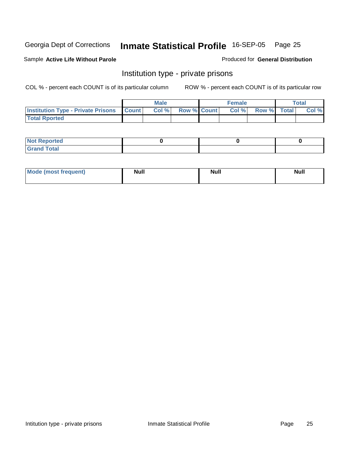#### Sample **Active Life Without Parole**

#### Produced for **General Distribution**

### Institution type - private prisons

|                                                     | <b>Male</b> |                    | <b>Female</b> |                    | <b>Total</b> |
|-----------------------------------------------------|-------------|--------------------|---------------|--------------------|--------------|
| <b>Institution Type - Private Prisons   Count  </b> | Col%        | <b>Row % Count</b> | Col %         | <b>Row %</b> Total | Col %        |
| <b>Total Rported</b>                                |             |                    |               |                    |              |

| <b>Not Reported</b>                       |  |  |
|-------------------------------------------|--|--|
| <b>Total</b><br>Gr <sub>2</sub><br>$\sim$ |  |  |

| Mode (most frequent) | <b>Null</b> | <b>Null</b> | Null |
|----------------------|-------------|-------------|------|
|                      |             |             |      |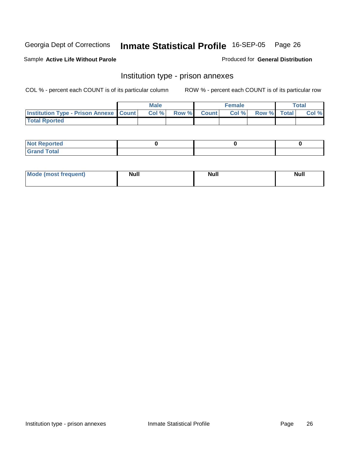Sample **Active Life Without Parole**

Produced for **General Distribution**

#### Institution type - prison annexes

|                                                   | <b>Male</b> |             | <b>Female</b> |             | <b>Total</b> |
|---------------------------------------------------|-------------|-------------|---------------|-------------|--------------|
| <b>Institution Type - Prison Annexe   Count  </b> | Col %       | Row % Count | Col %         | Row % Total | Col %        |
| <b>Total Rported</b>                              |             |             |               |             |              |

| $N$ nt R<br>Reported         |  |  |
|------------------------------|--|--|
| <b>Total</b><br><b>Grano</b> |  |  |

| Mode (most frequent) | <b>Null</b> | <b>Null</b> | <b>Null</b> |
|----------------------|-------------|-------------|-------------|
|                      |             |             |             |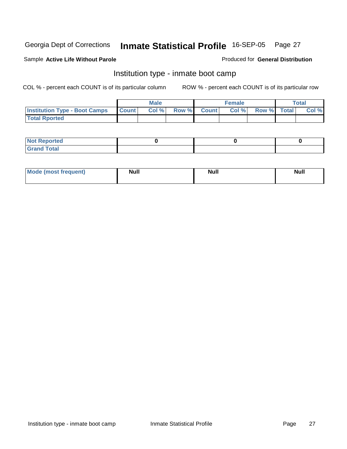#### Sample **Active Life Without Parole**

#### Produced for **General Distribution**

### Institution type - inmate boot camp

|                                      |              | <b>Male</b> |                    | <b>Female</b> |             | Total |
|--------------------------------------|--------------|-------------|--------------------|---------------|-------------|-------|
| <b>Institution Type - Boot Camps</b> | <b>Count</b> | Col%        | <b>Row % Count</b> | Col%          | Row % Total | Col % |
| <b>Total Rported</b>                 |              |             |                    |               |             |       |

| <b>Not Reported</b>          |  |  |
|------------------------------|--|--|
| Tota <sup>l</sup><br>$C = C$ |  |  |

| <b>Mode (most frequent)</b> | <b>Null</b> | <b>Null</b> | <b>Null</b> |
|-----------------------------|-------------|-------------|-------------|
|                             |             |             |             |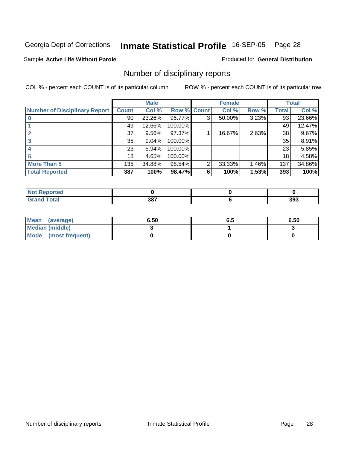#### Sample **Active Life Without Parole**

#### Produced for **General Distribution**

### Number of disciplinary reports

|                                      |              | <b>Male</b> |             |                | <b>Female</b> |       |       | <b>Total</b> |
|--------------------------------------|--------------|-------------|-------------|----------------|---------------|-------|-------|--------------|
| <b>Number of Disciplinary Report</b> | <b>Count</b> | Col %       | Row % Count |                | Col %         | Row % | Total | Col %        |
|                                      | 90           | 23.26%      | 96.77%      | 3              | 50.00%        | 3.23% | 93    | 23.66%       |
|                                      | 49           | 12.66%      | 100.00%     |                |               |       | 49    | 12.47%       |
| $\overline{2}$                       | 37           | 9.56%       | 97.37%      |                | 16.67%        | 2.63% | 38    | 9.67%        |
|                                      | 35           | 9.04%       | 100.00%     |                |               |       | 35    | 8.91%        |
|                                      | 23           | 5.94%       | 100.00%     |                |               |       | 23    | 5.85%        |
| 5                                    | 18           | 4.65%       | 100.00%     |                |               |       | 18    | 4.58%        |
| <b>More Than 5</b>                   | 135          | 34.88%      | 98.54%      | $\overline{2}$ | 33.33%        | 1.46% | 137   | 34.86%       |
| <b>Total Reported</b>                | 387          | 100%        | 98.47%      | 6              | 100%          | 1.53% | 393   | 100%         |

| .<br>тес<br>N |     |             |
|---------------|-----|-------------|
|               | 387 | nne.<br>აყა |

| Mean (average)       | 6.50 | o.a | 6.50 |
|----------------------|------|-----|------|
| Median (middle)      |      |     |      |
| Mode (most frequent) |      |     |      |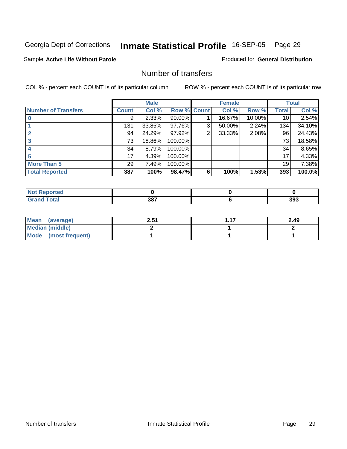#### Sample **Active Life Without Parole**

Produced for **General Distribution**

#### Number of transfers

|                            |                 | <b>Male</b> |             |                | <b>Female</b> |        |              | <b>Total</b> |
|----------------------------|-----------------|-------------|-------------|----------------|---------------|--------|--------------|--------------|
| <b>Number of Transfers</b> | <b>Count</b>    | Col %       | Row % Count |                | Col %         | Row %  | <b>Total</b> | Col %        |
|                            | 9               | $2.33\%$    | 90.00%      |                | 16.67%        | 10.00% | 10           | 2.54%        |
|                            | 131             | 33.85%      | 97.76%      | 3              | 50.00%        | 2.24%  | 134          | 34.10%       |
|                            | 94              | 24.29%      | 97.92%      | $\overline{2}$ | 33.33%        | 2.08%  | 96           | 24.43%       |
|                            | 73              | 18.86%      | 100.00%     |                |               |        | 73           | 18.58%       |
|                            | 34 <sup>1</sup> | 8.79%       | 100.00%     |                |               |        | 34           | 8.65%        |
| 5                          | 17              | 4.39%       | 100.00%     |                |               |        | 17           | 4.33%        |
| <b>More Than 5</b>         | 29 <sup>1</sup> | 7.49%       | 100.00%     |                |               |        | 29           | 7.38%        |
| <b>Total Reported</b>      | 387             | 100%        | 98.47%      | 6              | 100%          | 1.53%  | 393          | 100.0%       |

| τeα<br>N |     |     |
|----------|-----|-----|
|          | 387 | 393 |

| Mean (average)       | 2.51 | 2.49 |
|----------------------|------|------|
| Median (middle)      |      |      |
| Mode (most frequent) |      |      |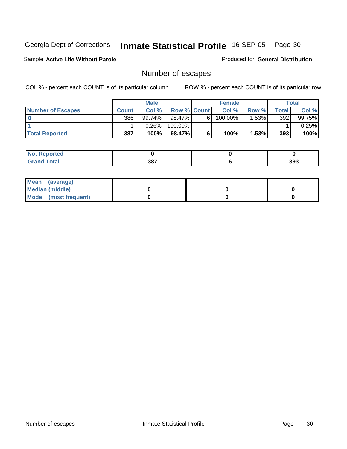#### Sample **Active Life Without Parole**

Produced for **General Distribution**

### Number of escapes

|                          |              | <b>Male</b> |                    |   | <b>Female</b>         |         |       | Total  |
|--------------------------|--------------|-------------|--------------------|---|-----------------------|---------|-------|--------|
| <b>Number of Escapes</b> | <b>Count</b> | Col %       | <b>Row % Count</b> |   | Col %                 | Row %   | Total | Col %  |
|                          | 386          | $99.74\%$   | 98.47%             | 6 | $100.\overline{00\%}$ | $.53\%$ | 392   | 99.75% |
|                          |              | 0.26%       | 100.00%            |   |                       |         |       | 0.25%  |
| <b>Total Reported</b>    | 387          | 100%        | 98.47%             |   | 100%                  | 1.53%   | 393   | 100%   |

| <b>rted</b>                   |     |     |
|-------------------------------|-----|-----|
| <b>Total</b><br>---<br>______ | 387 | 393 |

| Mean (average)       |  |  |
|----------------------|--|--|
| Median (middle)      |  |  |
| Mode (most frequent) |  |  |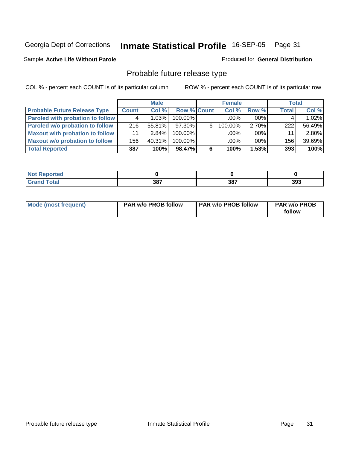#### Sample **Active Life Without Parole**

### Produced for **General Distribution**

### Probable future release type

|                                         |              | <b>Male</b> |                    |   | <b>Female</b> |          | <b>Total</b> |        |
|-----------------------------------------|--------------|-------------|--------------------|---|---------------|----------|--------------|--------|
| <b>Probable Future Release Type</b>     | <b>Count</b> | Col %       | <b>Row % Count</b> |   | Col%          | Row %    | <b>Total</b> | Col %  |
| <b>Paroled with probation to follow</b> |              | $1.03\%$    | 100.00%            |   | $.00\%$       | $.00\%$  |              | 1.02%  |
| Paroled w/o probation to follow         | 216          | $55.81\%$   | 97.30%             | 6 | $100.00\%$    | $2.70\%$ | 222          | 56.49% |
| Maxout with probation to follow         | 11           | $2.84\%$    | 100.00%            |   | $.00\%$       | $.00\%$  | 11           | 2.80%  |
| <b>Maxout w/o probation to follow</b>   | 156          | $40.31\%$   | 100.00%            |   | $.00\%$       | $.00\%$  | 156          | 39.69% |
| <b>Total Reported</b>                   | 387          | 100%        | 98.47%             | 6 | 100%          | 1.53%    | 393          | 100%   |

| -<br>τeα |                    |     |     |
|----------|--------------------|-----|-----|
| _____    | 207<br>၁၀.<br>$ -$ | 387 | 393 |

| Mode (most frequent) | <b>PAR w/o PROB follow</b> | <b>PAR w/o PROB follow</b> | <b>PAR w/o PROB</b><br>follow |
|----------------------|----------------------------|----------------------------|-------------------------------|
|----------------------|----------------------------|----------------------------|-------------------------------|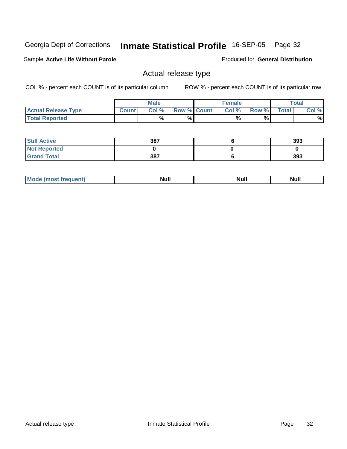Sample **Active Life Without Parole**

Produced for **General Distribution**

### Actual release type

|                            |         | <b>Male</b> |                    | Female |       |              | $\tau$ otal |
|----------------------------|---------|-------------|--------------------|--------|-------|--------------|-------------|
| <b>Actual Release Type</b> | Count . | Col %       | <b>Row % Count</b> | Col %  | Row % | <b>Total</b> | Col %       |
| <b>Total Reported</b>      |         | %           | %                  | %      | %     |              | %           |

| <b>Still Active</b> | 387 | 393 |
|---------------------|-----|-----|
| <b>Not Reported</b> |     |     |
| <b>Grand Total</b>  | 387 | 393 |

| M | 14H | <b>IVUII</b> | 11WH |
|---|-----|--------------|------|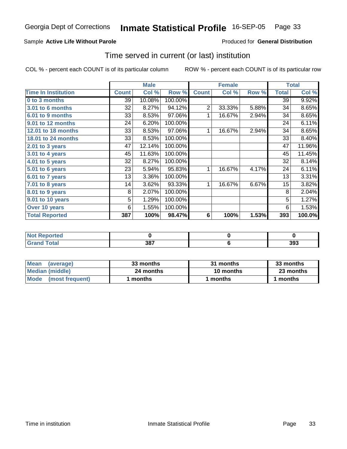#### Sample **Active Life Without Parole**

#### Produced for **General Distribution**

### Time served in current (or last) institution

|                              |              | <b>Male</b> |         |                | <b>Female</b> |       |              | <b>Total</b> |
|------------------------------|--------------|-------------|---------|----------------|---------------|-------|--------------|--------------|
| <b>Time In Institution</b>   | <b>Count</b> | Col %       | Row %   | <b>Count</b>   | Col %         | Row % | <b>Total</b> | Col %        |
| 0 to 3 months                | 39           | 10.08%      | 100.00% |                |               |       | 39           | 9.92%        |
| <b>3.01 to 6 months</b>      | 32           | 8.27%       | 94.12%  | $\overline{2}$ | 33.33%        | 5.88% | 34           | 8.65%        |
| 6.01 to 9 months             | 33           | 8.53%       | 97.06%  | 1              | 16.67%        | 2.94% | 34           | 8.65%        |
| 9.01 to 12 months            | 24           | 6.20%       | 100.00% |                |               |       | 24           | 6.11%        |
| 12.01 to 18 months           | 33           | 8.53%       | 97.06%  | 1              | 16.67%        | 2.94% | 34           | 8.65%        |
| 18.01 to 24 months           | 33           | 8.53%       | 100.00% |                |               |       | 33           | 8.40%        |
| 2.01 to 3 years              | 47           | 12.14%      | 100.00% |                |               |       | 47           | 11.96%       |
| $3.01$ to 4 years            | 45           | 11.63%      | 100.00% |                |               |       | 45           | 11.45%       |
| $\overline{4.01}$ to 5 years | 32           | 8.27%       | 100.00% |                |               |       | 32           | 8.14%        |
| 5.01 to 6 years              | 23           | 5.94%       | 95.83%  | 1              | 16.67%        | 4.17% | 24           | 6.11%        |
| 6.01 to 7 years              | 13           | 3.36%       | 100.00% |                |               |       | 13           | 3.31%        |
| 7.01 to 8 years              | 14           | 3.62%       | 93.33%  | 1              | 16.67%        | 6.67% | 15           | 3.82%        |
| 8.01 to 9 years              | 8            | 2.07%       | 100.00% |                |               |       | 8            | 2.04%        |
| 9.01 to 10 years             | 5            | 1.29%       | 100.00% |                |               |       | 5            | 1.27%        |
| Over 10 years                | 6            | 1.55%       | 100.00% |                |               |       | 6            | 1.53%        |
| <b>Total Reported</b>        | 387          | 100%        | 98.47%  | 6              | 100%          | 1.53% | 393          | 100.0%       |

| Reported<br>NOT F<br>$\cdots$ |             |     |
|-------------------------------|-------------|-----|
| Total                         | 207<br>JUI. | 393 |

| <b>Mean</b><br>(average) | 33 months | 31 months | 33 months |  |
|--------------------------|-----------|-----------|-----------|--|
| Median (middle)          | 24 months | 10 months | 23 months |  |
| Mode (most frequent)     | months    | l months  | 1 months  |  |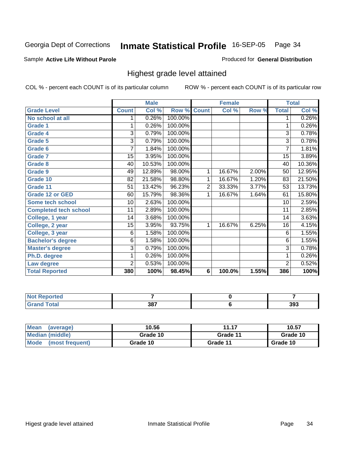#### Sample **Active Life Without Parole**

#### Produced for **General Distribution**

### Highest grade level attained

|                              |                 | <b>Male</b> |                    |                | <b>Female</b> |       |                 | <b>Total</b> |
|------------------------------|-----------------|-------------|--------------------|----------------|---------------|-------|-----------------|--------------|
| <b>Grade Level</b>           | <b>Count</b>    | Col %       | <b>Row % Count</b> |                | Col %         | Row % | <b>Total</b>    | Col %        |
| No school at all             | 1               | 0.26%       | 100.00%            |                |               |       | 1               | 0.26%        |
| <b>Grade 1</b>               |                 | 0.26%       | 100.00%            |                |               |       | 1               | 0.26%        |
| <b>Grade 4</b>               | 3               | 0.79%       | 100.00%            |                |               |       | $\overline{3}$  | 0.78%        |
| Grade 5                      | 3               | 0.79%       | 100.00%            |                |               |       | $\overline{3}$  | 0.78%        |
| Grade 6                      | 7               | 1.84%       | 100.00%            |                |               |       | 7               | 1.81%        |
| <b>Grade 7</b>               | 15              | 3.95%       | 100.00%            |                |               |       | $\overline{15}$ | 3.89%        |
| <b>Grade 8</b>               | 40              | 10.53%      | 100.00%            |                |               |       | 40              | 10.36%       |
| <b>Grade 9</b>               | 49              | 12.89%      | 98.00%             | 1              | 16.67%        | 2.00% | 50              | 12.95%       |
| Grade 10                     | 82              | 21.58%      | 98.80%             | 1              | 16.67%        | 1.20% | 83              | 21.50%       |
| Grade 11                     | $\overline{51}$ | 13.42%      | 96.23%             | $\overline{2}$ | 33.33%        | 3.77% | 53              | 13.73%       |
| <b>Grade 12 or GED</b>       | 60              | 15.79%      | 98.36%             | 1              | 16.67%        | 1.64% | 61              | 15.80%       |
| <b>Some tech school</b>      | 10              | 2.63%       | 100.00%            |                |               |       | 10              | 2.59%        |
| <b>Completed tech school</b> | 11              | 2.89%       | 100.00%            |                |               |       | 11              | 2.85%        |
| College, 1 year              | 14              | 3.68%       | 100.00%            |                |               |       | 14              | 3.63%        |
| College, 2 year              | 15              | 3.95%       | 93.75%             | 1              | 16.67%        | 6.25% | 16              | 4.15%        |
| College, 3 year              | 6               | 1.58%       | 100.00%            |                |               |       | $\,6$           | 1.55%        |
| <b>Bachelor's degree</b>     | 6               | 1.58%       | 100.00%            |                |               |       | 6               | 1.55%        |
| <b>Master's degree</b>       | 3               | 0.79%       | 100.00%            |                |               |       | 3               | 0.78%        |
| Ph.D. degree                 | 1               | 0.26%       | 100.00%            |                |               |       | 1               | 0.26%        |
| Law degree                   | $\overline{2}$  | 0.53%       | 100.00%            |                |               |       | $\overline{2}$  | 0.52%        |
| <b>Total Reported</b>        | 380             | 100%        | 98.45%             | 6              | 100.0%        | 1.55% | 386             | 100%         |

| Reported<br>NOT F<br>$\sim$                   |     |     |
|-----------------------------------------------|-----|-----|
| <b>Total</b><br><b>Grar</b><br><b>U</b> ldilu | 387 | 393 |

| <b>Mean</b><br>(average)       | 10.56    | 11.17    | 10.57    |
|--------------------------------|----------|----------|----------|
| Median (middle)                | Grade 10 | Grade 11 | Grade 10 |
| <b>Mode</b><br>(most frequent) | Grade 10 | Grade 11 | Grade 10 |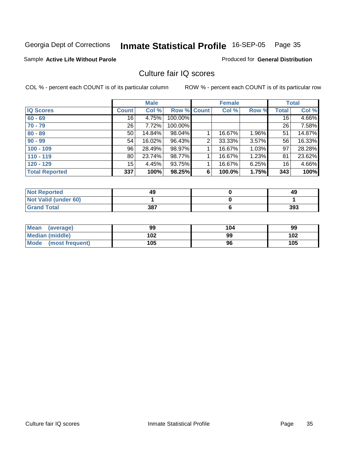#### Sample **Active Life Without Parole**

Produced for **General Distribution**

### Culture fair IQ scores

|                       |                  | <b>Male</b> |             |                | <b>Female</b> |       |              | <b>Total</b> |
|-----------------------|------------------|-------------|-------------|----------------|---------------|-------|--------------|--------------|
| <b>IQ Scores</b>      | <b>Count</b>     | Col %       | Row % Count |                | Col %         | Row % | <b>Total</b> | Col %        |
| $60 - 69$             | 16               | 4.75%       | 100.00%     |                |               |       | 16           | 4.66%        |
| $70 - 79$             | 26 <sup>1</sup>  | 7.72%       | 100.00%     |                |               |       | 26           | 7.58%        |
| $80 - 89$             | 50               | 14.84%      | 98.04%      |                | 16.67%        | 1.96% | 51           | 14.87%       |
| $90 - 99$             | 54               | 16.02%      | 96.43%      | $\overline{2}$ | 33.33%        | 3.57% | 56           | 16.33%       |
| $100 - 109$           | 96               | 28.49%      | 98.97%      |                | 16.67%        | 1.03% | 97           | 28.28%       |
| $110 - 119$           | 80               | 23.74%      | 98.77%      |                | 16.67%        | 1.23% | 81           | 23.62%       |
| $120 - 129$           | 15 <sub>15</sub> | 4.45%       | 93.75%      |                | 16.67%        | 6.25% | 16           | 4.66%        |
| <b>Total Reported</b> | 337              | 100%        | 98.25%      | 6              | 100.0%        | 1.75% | 343          | 100%         |

| <b>Not Reported</b>  | 49  | 49  |
|----------------------|-----|-----|
| Not Valid (under 60) |     |     |
| <b>Grand Total</b>   | 387 | 393 |

| Mean (average)         | 99  | 104 | 99  |
|------------------------|-----|-----|-----|
| <b>Median (middle)</b> | 102 | 99  | 102 |
| Mode (most frequent)   | 105 | 96  | 105 |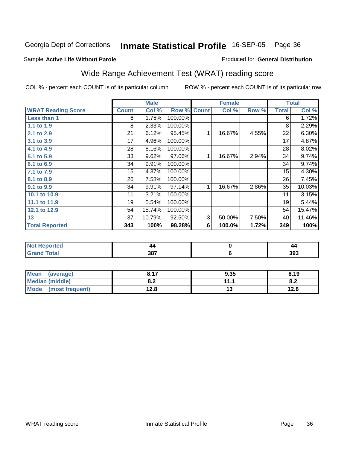#### Sample **Active Life Without Parole**

#### Produced for **General Distribution**

# Wide Range Achievement Test (WRAT) reading score

|                           |                 | <b>Male</b> |         |              | <b>Female</b> |       |                 | <b>Total</b> |
|---------------------------|-----------------|-------------|---------|--------------|---------------|-------|-----------------|--------------|
| <b>WRAT Reading Score</b> | <b>Count</b>    | Col %       | Row %   | <b>Count</b> | Col %         | Row % | <b>Total</b>    | Col %        |
| Less than 1               | 6               | 1.75%       | 100.00% |              |               |       | 6               | 1.72%        |
| 1.1 to 1.9                | 8               | 2.33%       | 100.00% |              |               |       | 8               | 2.29%        |
| 2.1 to 2.9                | $\overline{21}$ | 6.12%       | 95.45%  | 1            | 16.67%        | 4.55% | $\overline{22}$ | 6.30%        |
| 3.1 to 3.9                | 17              | 4.96%       | 100.00% |              |               |       | 17              | 4.87%        |
| 4.1 to 4.9                | 28              | 8.16%       | 100.00% |              |               |       | 28              | 8.02%        |
| 5.1 to 5.9                | 33              | 9.62%       | 97.06%  | 1            | 16.67%        | 2.94% | 34              | 9.74%        |
| 6.1 to 6.9                | 34              | 9.91%       | 100.00% |              |               |       | 34              | 9.74%        |
| 7.1 to 7.9                | 15              | 4.37%       | 100.00% |              |               |       | 15              | 4.30%        |
| 8.1 to 8.9                | 26              | 7.58%       | 100.00% |              |               |       | 26              | 7.45%        |
| 9.1 to 9.9                | 34              | 9.91%       | 97.14%  | 1            | 16.67%        | 2.86% | 35              | 10.03%       |
| 10.1 to 10.9              | 11              | 3.21%       | 100.00% |              |               |       | 11              | 3.15%        |
| 11.1 to 11.9              | 19              | 5.54%       | 100.00% |              |               |       | 19              | 5.44%        |
| 12.1 to 12.9              | 54              | 15.74%      | 100.00% |              |               |       | 54              | 15.47%       |
| 13                        | 37              | 10.79%      | 92.50%  | 3            | 50.00%        | 7.50% | 40              | 11.46%       |
| <b>Total Reported</b>     | 343             | 100%        | 98.28%  | 6            | 100.0%        | 1.72% | 349             | 100%         |
|                           |                 |             |         |              |               |       |                 |              |
| <b>Not Reported</b>       |                 | 44          |         |              | $\pmb{0}$     |       |                 | 44           |
| <b>Grand Total</b>        |                 | 387         |         |              | 6             |       |                 | 393          |

| Mean<br>(average)              | 0.47       | 9.35      | 8.19       |
|--------------------------------|------------|-----------|------------|
| Median (middle)                | י ס<br>o.z | 11 1<br>. | ດ -<br>o.z |
| <b>Mode</b><br>(most frequent) | 12.8       | ט ו       | 12.8       |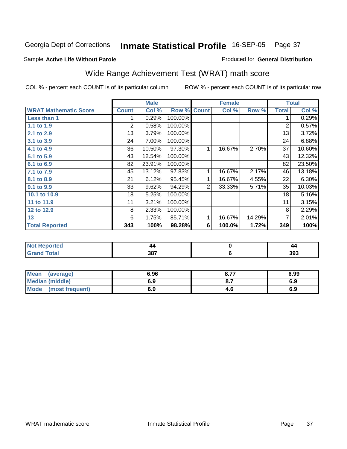#### Sample **Active Life Without Parole**

#### Produced for **General Distribution**

# Wide Range Achievement Test (WRAT) math score

|                              |              | <b>Male</b> |         |              | <b>Female</b> |        |                | <b>Total</b> |
|------------------------------|--------------|-------------|---------|--------------|---------------|--------|----------------|--------------|
| <b>WRAT Mathematic Score</b> | <b>Count</b> | Col %       | Row %   | <b>Count</b> | Col %         | Row %  | <b>Total</b>   | Col %        |
| Less than 1                  |              | 0.29%       | 100.00% |              |               |        | 1              | 0.29%        |
| 1.1 to 1.9                   | 2            | 0.58%       | 100.00% |              |               |        | $\overline{2}$ | 0.57%        |
| 2.1 to 2.9                   | 13           | 3.79%       | 100.00% |              |               |        | 13             | 3.72%        |
| 3.1 to 3.9                   | 24           | 7.00%       | 100.00% |              |               |        | 24             | 6.88%        |
| 4.1 to 4.9                   | 36           | 10.50%      | 97.30%  | 1            | 16.67%        | 2.70%  | 37             | 10.60%       |
| 5.1 to 5.9                   | 43           | 12.54%      | 100.00% |              |               |        | 43             | 12.32%       |
| 6.1 to 6.9                   | 82           | 23.91%      | 100.00% |              |               |        | 82             | 23.50%       |
| 7.1 to 7.9                   | 45           | 13.12%      | 97.83%  | 1            | 16.67%        | 2.17%  | 46             | 13.18%       |
| 8.1 to 8.9                   | 21           | 6.12%       | 95.45%  | 1            | 16.67%        | 4.55%  | 22             | 6.30%        |
| 9.1 to 9.9                   | 33           | 9.62%       | 94.29%  | 2            | 33.33%        | 5.71%  | 35             | 10.03%       |
| 10.1 to 10.9                 | 18           | 5.25%       | 100.00% |              |               |        | 18             | 5.16%        |
| 11 to 11.9                   | 11           | 3.21%       | 100.00% |              |               |        | 11             | 3.15%        |
| 12 to 12.9                   | 8            | 2.33%       | 100.00% |              |               |        | 8              | 2.29%        |
| 13                           | 6            | 1.75%       | 85.71%  | 1            | 16.67%        | 14.29% | 7              | 2.01%        |
| <b>Total Reported</b>        | 343          | 100%        | 98.28%  | 6            | 100.0%        | 1.72%  | 349            | 100%         |
|                              |              |             |         |              |               |        |                |              |
|                              |              |             |         |              |               |        |                |              |

| N<br>a teto | 44  | 44  |
|-------------|-----|-----|
| ______      | 387 | 393 |

| <b>Mean</b><br>(average) | 6.96 | o 77<br>O.1 | 6.99 |
|--------------------------|------|-------------|------|
| <b>Median (middle)</b>   | 6.9  | O.1         | 6.9  |
| Mode<br>(most frequent)  | 6.9  | 4.O         | 6.9  |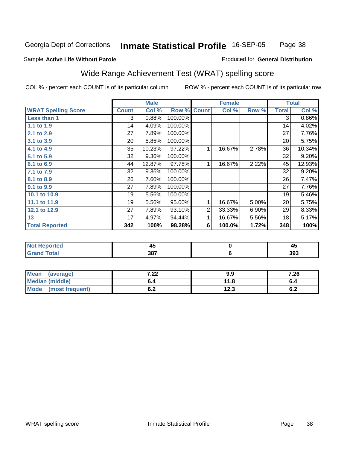Page 38

#### Sample **Active Life Without Parole**

#### Produced for **General Distribution**

# Wide Range Achievement Test (WRAT) spelling score

|                            |                 | <b>Male</b> |         |                | <b>Female</b> |       |                 | <b>Total</b> |
|----------------------------|-----------------|-------------|---------|----------------|---------------|-------|-----------------|--------------|
| <b>WRAT Spelling Score</b> | <b>Count</b>    | Col %       | Row %   | <b>Count</b>   | Col %         | Row % | <b>Total</b>    | Col %        |
| Less than 1                | 3               | 0.88%       | 100.00% |                |               |       | 3               | $0.86\%$     |
| 1.1 to 1.9                 | 14              | 4.09%       | 100.00% |                |               |       | 14              | 4.02%        |
| 2.1 to 2.9                 | 27              | 7.89%       | 100.00% |                |               |       | $\overline{27}$ | 7.76%        |
| 3.1 to 3.9                 | 20              | 5.85%       | 100.00% |                |               |       | 20              | 5.75%        |
| 4.1 to 4.9                 | 35              | 10.23%      | 97.22%  | 1              | 16.67%        | 2.78% | 36              | 10.34%       |
| 5.1 to 5.9                 | 32              | 9.36%       | 100.00% |                |               |       | 32              | 9.20%        |
| 6.1 to 6.9                 | 44              | 12.87%      | 97.78%  | 1              | 16.67%        | 2.22% | 45              | 12.93%       |
| 7.1 to 7.9                 | 32              | 9.36%       | 100.00% |                |               |       | 32              | 9.20%        |
| 8.1 to 8.9                 | $\overline{26}$ | 7.60%       | 100.00% |                |               |       | 26              | 7.47%        |
| 9.1 to 9.9                 | 27              | 7.89%       | 100.00% |                |               |       | 27              | 7.76%        |
| 10.1 to 10.9               | 19              | 5.56%       | 100.00% |                |               |       | 19              | 5.46%        |
| 11.1 to 11.9               | 19              | 5.56%       | 95.00%  | $\mathbf{1}$   | 16.67%        | 5.00% | 20              | 5.75%        |
| 12.1 to 12.9               | 27              | 7.89%       | 93.10%  | $\overline{2}$ | 33.33%        | 6.90% | 29              | 8.33%        |
| 13                         | 17              | 4.97%       | 94.44%  | 1.             | 16.67%        | 5.56% | 18              | 5.17%        |
| <b>Total Reported</b>      | 342             | 100%        | 98.28%  | 6              | 100.0%        | 1.72% | 348             | 100%         |
|                            |                 |             |         |                |               |       |                 |              |
| <b>Not Reported</b>        |                 | 45          |         |                | $\pmb{0}$     |       |                 | 45           |
| <b>Grand Total</b>         |                 | 387         |         |                | 6             |       |                 | 393          |

| <b>Mean</b><br>(average) | ר ל<br>.∠∠ | 9.9  | 7.26       |
|--------------------------|------------|------|------------|
| <b>Median (middle)</b>   | o.4        | 11.8 | v.4        |
| Mode<br>(most frequent)  | v.z        | 12.3 | c -<br>0.Z |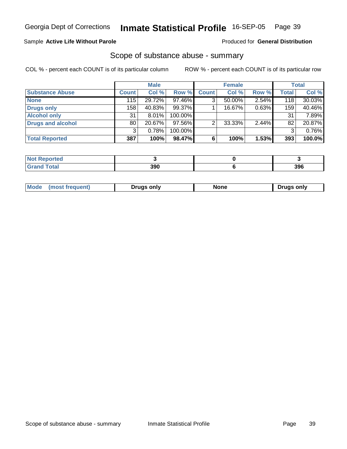#### Sample **Active Life Without Parole**

Produced for **General Distribution**

### Scope of substance abuse - summary

|                          |              | <b>Male</b> |         |              | <b>Female</b> |       |       | <b>Total</b> |
|--------------------------|--------------|-------------|---------|--------------|---------------|-------|-------|--------------|
| <b>Substance Abuse</b>   | <b>Count</b> | Col %       | Row %   | <b>Count</b> | Col %         | Row % | Total | Col %        |
| <b>None</b>              | 115          | 29.72%      | 97.46%  | 3            | $50.00\%$     | 2.54% | 118   | $30.03\%$    |
| <b>Drugs only</b>        | 158          | 40.83%      | 99.37%  |              | 16.67%        | 0.63% | 159   | 40.46%       |
| <b>Alcohol only</b>      | 31           | 8.01%       | 100.00% |              |               |       | 31    | 7.89%        |
| <b>Drugs and alcohol</b> | 80           | 20.67%      | 97.56%  |              | 33.33%        | 2.44% | 82    | 20.87%       |
|                          | 3            | 0.78%       | 100.00% |              |               |       | 3     | 0.76%        |
| <b>Total Reported</b>    | 387          | 100%        | 98.47%  |              | 100%          | 1.53% | 393   | 100.0%       |

| eported }    |     |     |
|--------------|-----|-----|
| <b>Total</b> | 390 | 396 |

| $^{\prime}$ M $\alpha$ | only | ำnr  | only |
|------------------------|------|------|------|
| $-$                    |      | ____ | Tru  |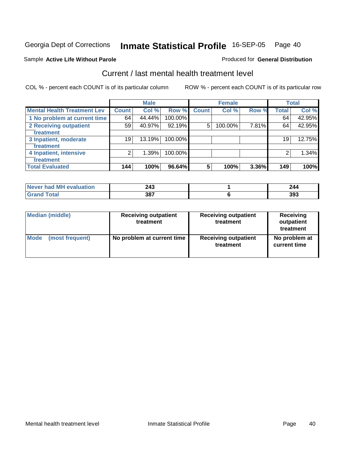#### Sample **Active Life Without Parole**

# Produced for **General Distribution**

### Current / last mental health treatment level

|                                    |              | <b>Male</b> |            |              | <b>Female</b> |       |       | <b>Total</b> |
|------------------------------------|--------------|-------------|------------|--------------|---------------|-------|-------|--------------|
| <b>Mental Health Treatment Lev</b> | <b>Count</b> | Col %       | Row %      | <b>Count</b> | Col %         | Row % | Total | Col %        |
| 1 No problem at current time       | 64           | 44.44%      | 100.00%    |              |               |       | 64    | 42.95%       |
| 2 Receiving outpatient             | 59           | 40.97%      | 92.19%     | 5            | 100.00%       | 7.81% | 64    | 42.95%       |
| treatment                          |              |             |            |              |               |       |       |              |
| 3 Inpatient, moderate              | 19           | 13.19%      | 100.00%    |              |               |       | 19    | 12.75%       |
| treatment                          |              |             |            |              |               |       |       |              |
| 4 Inpatient, intensive             | 2            | 1.39%       | $100.00\%$ |              |               |       |       | 1.34%        |
| treatment                          |              |             |            |              |               |       |       |              |
| <b>Total Evaluated</b>             | 144          | 100%        | 96.64%     | 5            | 100%          | 3.36% | 149   | 100%         |

| Never had MH evaluation   | 243<br>2 TJ | 244 |
|---------------------------|-------------|-----|
| $\mathop{\mathsf{Total}}$ | 387         | 393 |

| <b>Median (middle)</b> | <b>Receiving outpatient</b><br>treatment | <b>Receiving outpatient</b><br>treatment | <b>Receiving</b><br>outpatient<br>treatment |  |
|------------------------|------------------------------------------|------------------------------------------|---------------------------------------------|--|
| Mode                   | No problem at current time               | <b>Receiving outpatient</b>              | No problem at                               |  |
| (most frequent)        |                                          | treatment                                | current time                                |  |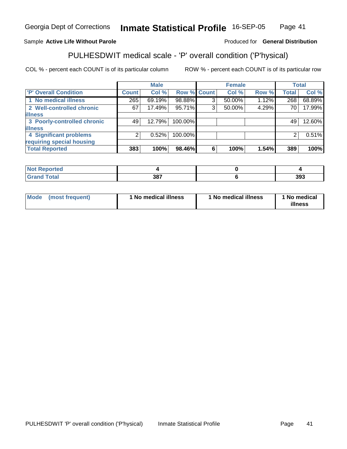#### Sample **Active Life Without Parole**

#### Produced for **General Distribution**

# PULHESDWIT medical scale - 'P' overall condition ('P'hysical)

|                             |              | <b>Male</b> |         |             | <b>Female</b> |       |              | <b>Total</b> |
|-----------------------------|--------------|-------------|---------|-------------|---------------|-------|--------------|--------------|
| 'P' Overall Condition       | <b>Count</b> | Col %       |         | Row % Count | Col %         | Row % | <b>Total</b> | Col %        |
| 1 No medical illness        | 265          | 69.19%      | 98.88%  | ◠           | 50.00%        | 1.12% | 268          | 68.89%       |
| 2 Well-controlled chronic   | 67           | 17.49%      | 95.71%  | ົ           | 50.00%        | 4.29% | 70           | 17.99%       |
| <b>illness</b>              |              |             |         |             |               |       |              |              |
| 3 Poorly-controlled chronic | 49           | 12.79%      | 100.00% |             |               |       | 49           | 12.60%       |
| <b>illness</b>              |              |             |         |             |               |       |              |              |
| 4 Significant problems      | 21           | 0.52%       | 100.00% |             |               |       | 2            | 0.51%        |
| requiring special housing   |              |             |         |             |               |       |              |              |
| <b>Total Reported</b>       | 383          | 100%        | 98.46%  | 6           | 100%          | 1.54% | 389          | 100%         |

| rtea<br>$\sim$ |     |     |
|----------------|-----|-----|
|                | 207 | 393 |

| Mode | (most frequent) | 1 No medical illness | <sup>1</sup> No medical illness | 1 No medical<br>illness |
|------|-----------------|----------------------|---------------------------------|-------------------------|
|------|-----------------|----------------------|---------------------------------|-------------------------|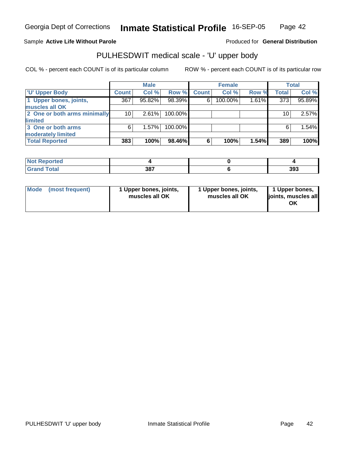#### Sample **Active Life Without Parole**

#### Produced for **General Distribution**

### PULHESDWIT medical scale - 'U' upper body

|                              |              | <b>Male</b> |         |              | <b>Female</b> |       |              | <b>Total</b> |
|------------------------------|--------------|-------------|---------|--------------|---------------|-------|--------------|--------------|
| <b>TU' Upper Body</b>        | <b>Count</b> | Col %       | Row %   | <b>Count</b> | Col %         | Row % | <b>Total</b> | Col %        |
| 1 Upper bones, joints,       | 367          | 95.82%      | 98.39%  | 6            | 100.00%       | 1.61% | 373          | 95.89%       |
| muscles all OK               |              |             |         |              |               |       |              |              |
| 2 One or both arms minimally | 10           | 2.61%       | 100.00% |              |               |       | 10           | 2.57%        |
| limited                      |              |             |         |              |               |       |              |              |
| 3 One or both arms           | 6            | 1.57%       | 100.00% |              |               |       | 6            | 1.54%        |
| moderately limited           |              |             |         |              |               |       |              |              |
| <b>Total Reported</b>        | 383          | 100%        | 98.46%  | 6            | 100%          | 1.54% | 389          | 100%         |

| <b>Not Reported</b> |     |     |
|---------------------|-----|-----|
| <b>Grand Total</b>  | 387 | 393 |

| l Mode I | (most frequent) | 1 Upper bones, joints,<br>muscles all OK | 1 Upper bones, joints,<br>muscles all OK | 1 Upper bones,<br>joints, muscles all<br>ΟK |
|----------|-----------------|------------------------------------------|------------------------------------------|---------------------------------------------|
|----------|-----------------|------------------------------------------|------------------------------------------|---------------------------------------------|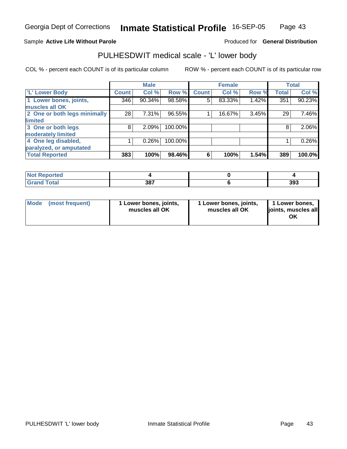#### Sample **Active Life Without Parole**

#### Produced for **General Distribution**

### PULHESDWIT medical scale - 'L' lower body

|                              |              | <b>Male</b> |         |              | <b>Female</b> |       |              | <b>Total</b> |
|------------------------------|--------------|-------------|---------|--------------|---------------|-------|--------------|--------------|
| 'L' Lower Body               | <b>Count</b> | Col %       | Row %   | <b>Count</b> | Col %         | Row % | <b>Total</b> | Col %        |
| 1 Lower bones, joints,       | 346          | 90.34%      | 98.58%  | 5            | 83.33%        | 1.42% | 351          | 90.23%       |
| muscles all OK               |              |             |         |              |               |       |              |              |
| 2 One or both legs minimally | 28           | 7.31%       | 96.55%  |              | 16.67%        | 3.45% | 29           | 7.46%        |
| limited                      |              |             |         |              |               |       |              |              |
| 3 One or both legs           | 8            | 2.09%       | 100.00% |              |               |       | 8            | 2.06%        |
| moderately limited           |              |             |         |              |               |       |              |              |
| 4 One leg disabled,          |              | 0.26%       | 100.00% |              |               |       |              | 0.26%        |
| paralyzed, or amputated      |              |             |         |              |               |       |              |              |
| <b>Total Reported</b>        | 383          | 100%        | 98.46%  | 6            | 100%          | 1.54% | 389          | 100.0%       |

| <b>Not Reported</b>          |     |     |
|------------------------------|-----|-----|
| <b>Total</b><br><b>Grand</b> | 387 | 393 |

| l Mode | (most frequent) | 1 Lower bones, joints,<br>muscles all OK | 1 Lower bones, joints,<br>muscles all OK | 1 Lower bones,<br>joints, muscles all<br>ΟK |
|--------|-----------------|------------------------------------------|------------------------------------------|---------------------------------------------|
|--------|-----------------|------------------------------------------|------------------------------------------|---------------------------------------------|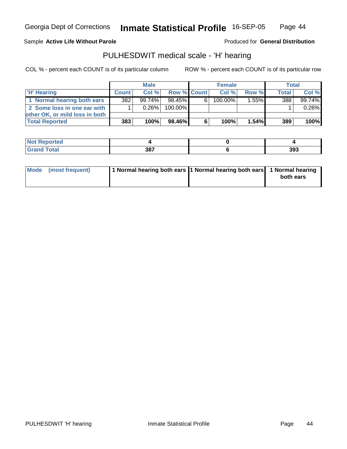Page 44

#### Sample **Active Life Without Parole**

#### Produced for **General Distribution**

### PULHESDWIT medical scale - 'H' hearing

|                                |              | <b>Male</b> |                    |   | <b>Female</b> |          | Total        |        |
|--------------------------------|--------------|-------------|--------------------|---|---------------|----------|--------------|--------|
| <b>H' Hearing</b>              | <b>Count</b> | Col%        | <b>Row % Count</b> |   | Col%          | Row %    | <b>Total</b> | Col %  |
| 1 Normal hearing both ears     | 382          | $99.74\%$   | 98.45%             | 6 | $100.00\%$    | $1.55\%$ | 388          | 99.74% |
| 2 Some loss in one ear with    |              | 0.26%       | 100.00%            |   |               |          |              | 0.26%  |
| other OK, or mild loss in both |              |             |                    |   |               |          |              |        |
| <b>Total Reported</b>          | 383          | 100%        | 98.46%             | 6 | 100%          | 1.54%    | 389          | 100%   |

| N     |                    |     |
|-------|--------------------|-----|
| _____ | 207<br>JU.<br>$ -$ | 393 |

| Mode (most frequent) | 1 Normal hearing both ears  1 Normal hearing both ears   1 Normal hearing |           |
|----------------------|---------------------------------------------------------------------------|-----------|
|                      |                                                                           | both ears |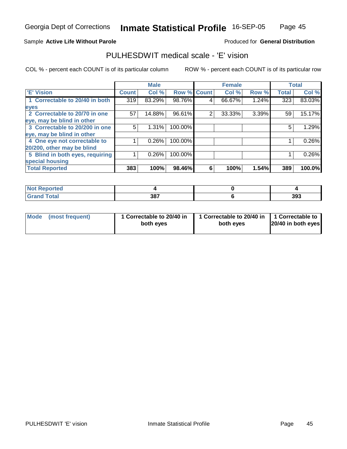#### Sample **Active Life Without Parole**

#### Produced for **General Distribution**

### PULHESDWIT medical scale - 'E' vision

|                                 |              | <b>Male</b> |                    |   | <b>Female</b> |       |              | <b>Total</b> |
|---------------------------------|--------------|-------------|--------------------|---|---------------|-------|--------------|--------------|
| <b>E' Vision</b>                | <b>Count</b> | Col %       | <b>Row % Count</b> |   | Col %         | Row % | <b>Total</b> | Col %        |
| 1 Correctable to 20/40 in both  | 319          | 83.29%      | 98.76%             | 4 | 66.67%        | 1.24% | 323          | 83.03%       |
| eyes                            |              |             |                    |   |               |       |              |              |
| 2 Correctable to 20/70 in one   | 57           | 14.88%      | 96.61%             | 2 | 33.33%        | 3.39% | 59           | 15.17%       |
| eye, may be blind in other      |              |             |                    |   |               |       |              |              |
| 3 Correctable to 20/200 in one  | 5            | $1.31\%$    | 100.00%            |   |               |       | 5            | 1.29%        |
| eye, may be blind in other      |              |             |                    |   |               |       |              |              |
| 4 One eye not correctable to    |              | 0.26%       | 100.00%            |   |               |       |              | 0.26%        |
| 20/200, other may be blind      |              |             |                    |   |               |       |              |              |
| 5 Blind in both eyes, requiring |              | $0.26\%$    | 100.00%            |   |               |       |              | 0.26%        |
| special housing                 |              |             |                    |   |               |       |              |              |
| <b>Total Reported</b>           | 383          | 100%        | 98.46%             | 6 | 100%          | 1.54% | 389          | 100.0%       |

| <b>Not Reported</b> |     |     |
|---------------------|-----|-----|
| <b>Grand Total</b>  | 387 | 393 |

| Mode (most frequent) | 1 Correctable to 20/40 in<br>both eyes | 1 Correctable to 20/40 in   1 Correctable to<br>both eves | 20/40 in both eyes |
|----------------------|----------------------------------------|-----------------------------------------------------------|--------------------|
|----------------------|----------------------------------------|-----------------------------------------------------------|--------------------|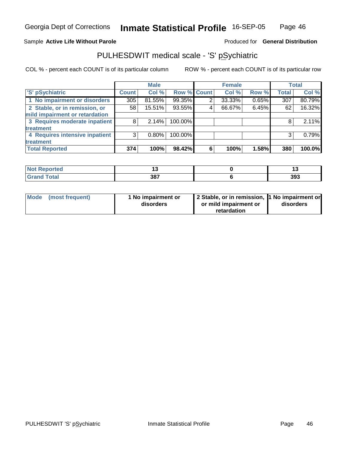#### Sample **Active Life Without Parole**

#### Produced for **General Distribution**

### PULHESDWIT medical scale - 'S' pSychiatric

|                                |              | <b>Male</b> |             |   | <b>Female</b> |       |              | <b>Total</b> |
|--------------------------------|--------------|-------------|-------------|---|---------------|-------|--------------|--------------|
| 'S' pSychiatric                | <b>Count</b> | Col %       | Row % Count |   | Col %         | Row % | <b>Total</b> | Col %        |
| 1 No impairment or disorders   | 305          | 81.55%      | 99.35%      |   | 33.33%        | 0.65% | 307          | 80.79%       |
| 2 Stable, or in remission, or  | 58           | 15.51%      | 93.55%      | 4 | 66.67%        | 6.45% | 62           | $16.32\%$    |
| mild impairment or retardation |              |             |             |   |               |       |              |              |
| 3 Requires moderate inpatient  | 8            | $2.14\%$    | 100.00%     |   |               |       | 8            | 2.11%        |
| treatment                      |              |             |             |   |               |       |              |              |
| 4 Requires intensive inpatient | 3            | $0.80\%$    | 100.00%     |   |               |       | 3            | 0.79%        |
| treatment                      |              |             |             |   |               |       |              |              |
| <b>Total Reported</b>          | 374          | 100%        | 98.42%      | 6 | 100%          | 1.58% | 380          | 100.0%       |

| <b>rted</b><br>N             | 1 v |     |
|------------------------------|-----|-----|
| <b>fotal</b><br><b>UIUIU</b> | 387 | 393 |

| Mode (most frequent) | 1 No impairment or<br>disorders | 2 Stable, or in remission, 1 No impairment or<br>or mild impairment or | disorders |  |
|----------------------|---------------------------------|------------------------------------------------------------------------|-----------|--|
|                      |                                 | retardation                                                            |           |  |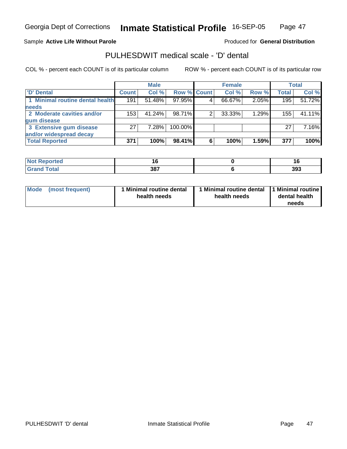#### Sample **Active Life Without Parole**

#### Produced for **General Distribution**

### PULHESDWIT medical scale - 'D' dental

|                                 |              | <b>Male</b> |                    |   | <b>Female</b> |       |              | <b>Total</b> |
|---------------------------------|--------------|-------------|--------------------|---|---------------|-------|--------------|--------------|
| <b>D' Dental</b>                | <b>Count</b> | Col %       | <b>Row % Count</b> |   | Col %         | Row % | <b>Total</b> | Col %        |
| 1 Minimal routine dental health | 191          | 51.48%      | 97.95%             |   | 66.67%        | 2.05% | 195          | 51.72%       |
| <b>needs</b>                    |              |             |                    |   |               |       |              |              |
| 2 Moderate cavities and/or      | 153          | 41.24%      | 98.71%             |   | 33.33%        | 1.29% | 155          | 41.11%       |
| gum disease                     |              |             |                    |   |               |       |              |              |
| 3 Extensive gum disease         | 27           | 7.28%       | 100.00%            |   |               |       | 27           | 7.16%        |
| and/or widespread decay         |              |             |                    |   |               |       |              |              |
| <b>Total Reported</b>           | 371          | 100%        | 98.41%             | 6 | 100%          | 1.59% | 377          | 100%         |

| N.<br>ттео            | l O | 16  |
|-----------------------|-----|-----|
| $"$ otol $"$<br>_____ | 387 | 393 |

| Mode            | 1 Minimal routine dental | Minimal routine dental  1 Minimal routine | dental health |
|-----------------|--------------------------|-------------------------------------------|---------------|
| (most frequent) | health needs             | health needs                              | needs         |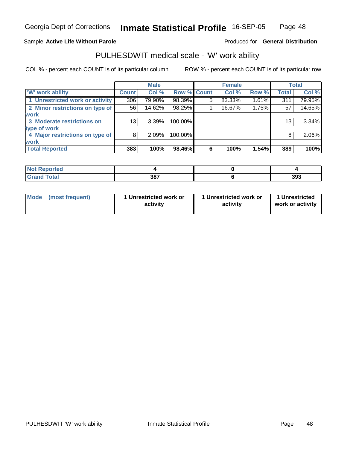#### Sample **Active Life Without Parole**

#### Produced for **General Distribution**

### PULHESDWIT medical scale - 'W' work ability

|                                 |              | <b>Male</b> |                    |   | <b>Female</b> |       |              | Total  |
|---------------------------------|--------------|-------------|--------------------|---|---------------|-------|--------------|--------|
| <b>W'</b> work ability          | <b>Count</b> | Col %       | <b>Row % Count</b> |   | Col %         | Row % | <b>Total</b> | Col %  |
| 1 Unrestricted work or activity | 306          | 79.90%      | 98.39%             | 5 | 83.33%        | 1.61% | 311          | 79.95% |
| 2 Minor restrictions on type of | 56           | 14.62%      | 98.25%             |   | 16.67%        | 1.75% | 57           | 14.65% |
| <b>work</b>                     |              |             |                    |   |               |       |              |        |
| 3 Moderate restrictions on      | 13           | 3.39%       | 100.00%            |   |               |       | 13           | 3.34%  |
| type of work                    |              |             |                    |   |               |       |              |        |
| 4 Major restrictions on type of | 8            | 2.09%       | 100.00%            |   |               |       | 8            | 2.06%  |
| <b>work</b>                     |              |             |                    |   |               |       |              |        |
| <b>Total Reported</b>           | 383          | 100%        | 98.46%             | 6 | 100%          | 1.54% | 389          | 100%   |

| ਾ∩rted <b>ਵ</b>                  |     |     |
|----------------------------------|-----|-----|
| <b>Total</b><br>$\mathsf{C}$ and | 387 | 393 |

| Mode | (most frequent) | 1 Unrestricted work or<br>activity | 1 Unrestricted work or<br>activity | 1 Unrestricted<br>work or activity |
|------|-----------------|------------------------------------|------------------------------------|------------------------------------|
|      |                 |                                    |                                    |                                    |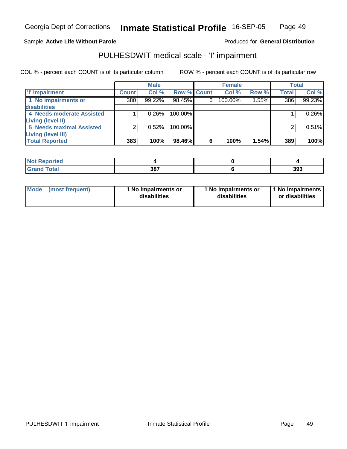#### Page 49

#### Sample **Active Life Without Parole**

#### Produced for **General Distribution**

### PULHESDWIT medical scale - 'I' impairment

|                                 |              | <b>Male</b> |             |   | <b>Female</b> |       |              | <b>Total</b> |
|---------------------------------|--------------|-------------|-------------|---|---------------|-------|--------------|--------------|
| I'' Impairment                  | <b>Count</b> | Col %       | Row % Count |   | Col %         | Row % | <b>Total</b> | Col %        |
| 1 No impairments or             | 380          | 99.22%      | 98.45%      | 6 | 100.00%       | 1.55% | 386          | 99.23%       |
| disabilities                    |              |             |             |   |               |       |              |              |
| 4 Needs moderate Assisted       |              | 0.26%       | $100.00\%$  |   |               |       |              | 0.26%        |
| <b>Living (level II)</b>        |              |             |             |   |               |       |              |              |
| <b>5 Needs maximal Assisted</b> |              | 0.52%       | $100.00\%$  |   |               |       |              | 0.51%        |
| Living (level III)              |              |             |             |   |               |       |              |              |
| <b>Total Reported</b>           | 383          | 100%        | 98.46%      | 6 | 100%          | 1.54% | 389          | 100%l        |

| Reported          |     |     |
|-------------------|-----|-----|
| <b>Total</b><br>. | 387 | 393 |

| <b>Mode</b>     | 1 No impairments or | 1 No impairments or | 1 No impairments |
|-----------------|---------------------|---------------------|------------------|
| (most frequent) | disabilities        | disabilities        | or disabilities  |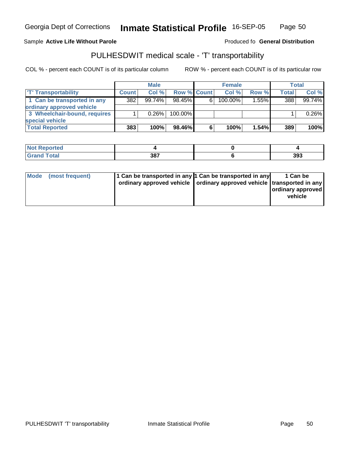# PULHESDWIT medical scale - 'T' transportability

COL % - percent each COUNT is of its particular column ROW % - percent each COUNT is of its particular row

|                              |              | <b>Male</b> |                    |   | <b>Female</b> |       |              | <b>Total</b> |
|------------------------------|--------------|-------------|--------------------|---|---------------|-------|--------------|--------------|
| <b>T' Transportability</b>   | <b>Count</b> | Col %       | <b>Row % Count</b> |   | Col%          | Row % | <b>Total</b> | Col %        |
| 1 Can be transported in any  | 382          | $99.74\%$   | $98.45\%$          | 6 | 100.00%       | 1.55% | 388          | 99.74%       |
| ordinary approved vehicle    |              |             |                    |   |               |       |              |              |
| 3 Wheelchair-bound, requires |              | 0.26%       | $100.00\%$         |   |               |       |              | 0.26%        |
| special vehicle              |              |             |                    |   |               |       |              |              |
| <b>Total Reported</b>        | 383          | 100%        | 98.46%             | 6 | 100%          | 1.54% | 389          | 100%         |

| N <sub>of</sub><br>Reported |     |     |
|-----------------------------|-----|-----|
| <b>Total</b><br>Gran        | 387 | 393 |

|  | Mode (most frequent) | 1 Can be transported in any 1 Can be transported in any<br>ordinary approved vehicle   ordinary approved vehicle   transported in any |  | 1 Can be<br>ordinary approved<br>vehicle |
|--|----------------------|---------------------------------------------------------------------------------------------------------------------------------------|--|------------------------------------------|
|--|----------------------|---------------------------------------------------------------------------------------------------------------------------------------|--|------------------------------------------|

Georgia Dept of Corrections

Sample Active Life Without Parole **Active Life Without Parole** Produced fo General Distribution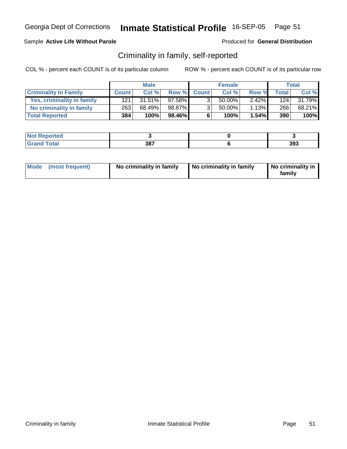### Sample **Active Life Without Parole**

Produced for **General Distribution**

### Criminality in family, self-reported

|                              |              | <b>Male</b> |        |                | <b>Female</b> |          |              | <b>Total</b> |
|------------------------------|--------------|-------------|--------|----------------|---------------|----------|--------------|--------------|
| <b>Criminality In Family</b> | <b>Count</b> | Col %       |        | Row % Count    | Col %         | Row %    | <b>Total</b> | Col %        |
| Yes, criminality in family   | 121          | $31.51\%$   | 97.58% | 3 <sub>1</sub> | 50.00%        | $2.42\%$ | 124          | 31.79%       |
| No criminality in family     | 263          | 68.49%      | 98.87% | 3 <sub>1</sub> | 50.00%        | 1.13%    | 266          | 68.21%       |
| <b>Total Reported</b>        | 384          | 100%        | 98.46% | 6              | 100%          | 1.54%    | 390          | 100%         |

| $\sim$ $\sim$ $\sim$ $\sim$<br>--- | 207<br>JС<br>$ -$ | 393 |
|------------------------------------|-------------------|-----|

| Mode (most frequent) | No criminality in family | No criminality in family | No criminality in<br>family |
|----------------------|--------------------------|--------------------------|-----------------------------|
|----------------------|--------------------------|--------------------------|-----------------------------|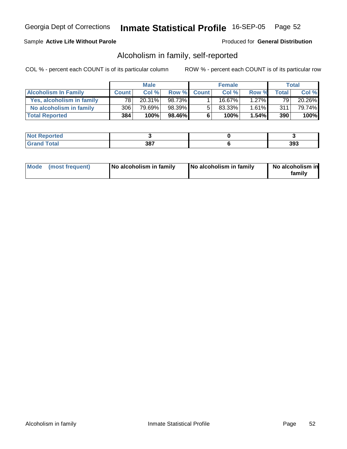#### Sample **Active Life Without Parole**

Produced for **General Distribution**

### Alcoholism in family, self-reported

|                             |              | <b>Male</b> |        |             | <b>Female</b> |          |              | <b>Total</b> |
|-----------------------------|--------------|-------------|--------|-------------|---------------|----------|--------------|--------------|
| <b>Alcoholism In Family</b> | <b>Count</b> | Col %       |        | Row % Count | Col %         | Row %    | <b>Total</b> | Col %        |
| Yes, alcoholism in family   | 78           | 20.31%      | 98.73% |             | 16.67%」       | $1.27\%$ | 79 I         | 20.26%       |
| No alcoholism in family     | 306          | 79.69%      | 98.39% | 5           | 83.33%        | 1.61%    | 311          | 79.74%       |
| <b>Total Reported</b>       | 384          | 100%        | 98.46% | 6           | 100%          | 1.54%    | 390          | 100%         |

| <b>rted</b>                      |     |     |
|----------------------------------|-----|-----|
| $\mathcal{L}$ at all<br>$\sim$ . | 387 | 393 |

| Mode (most frequent) | No alcoholism in family | No alcoholism in family | No alcoholism in<br>familv |
|----------------------|-------------------------|-------------------------|----------------------------|
|----------------------|-------------------------|-------------------------|----------------------------|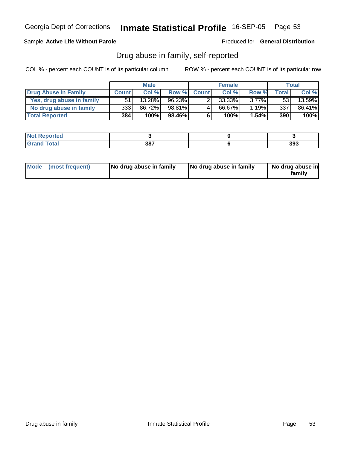### Sample **Active Life Without Parole**

Produced for **General Distribution**

### Drug abuse in family, self-reported

|                           |              | <b>Male</b> |           |              | <b>Female</b> |          |              | Total  |
|---------------------------|--------------|-------------|-----------|--------------|---------------|----------|--------------|--------|
| Drug Abuse In Family      | <b>Count</b> | Col %       | Row %     | <b>Count</b> | Col %         | Row %    | <b>Total</b> | Col %  |
| Yes, drug abuse in family | 51           | 13.28%      | $96.23\%$ |              | 33.33%        | $3.77\%$ | 53           | 13.59% |
| No drug abuse in family   | 3331         | 86.72%      | 98.81%    | 4            | 66.67%        | 1.19%    | 337          | 86.41% |
| <b>Total Reported</b>     | 384          | 100%        | 98.46%    | 6            | 100%          | 1.54%    | 390          | 100%   |

| $\sim$ $\sim$ $\sim$ $\sim$<br>--- | 207<br>JС<br>$ -$ | 393 |
|------------------------------------|-------------------|-----|

| Mode (most frequent)<br>No drug abuse in family | No drug abuse in family | No drug abuse in<br>familv |
|-------------------------------------------------|-------------------------|----------------------------|
|-------------------------------------------------|-------------------------|----------------------------|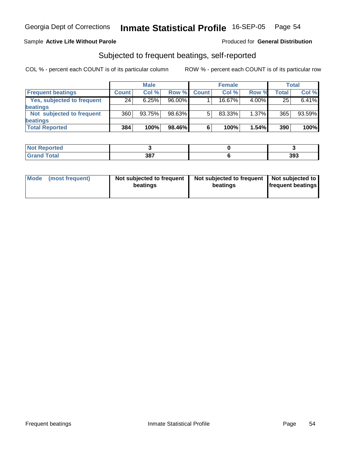#### Sample **Active Life Without Parole**

#### Produced for **General Distribution**

### Subjected to frequent beatings, self-reported

|                            |              | <b>Male</b> |           |              | <b>Female</b> |          |       | <b>Total</b> |
|----------------------------|--------------|-------------|-----------|--------------|---------------|----------|-------|--------------|
| <b>Frequent beatings</b>   | <b>Count</b> | Col%        | Row %     | <b>Count</b> | Col%          | Row %    | Total | Col %        |
| Yes, subjected to frequent | 24           | 6.25%       | $96.00\%$ |              | 16.67%        | $4.00\%$ | 25    | 6.41%        |
| <b>beatings</b>            |              |             |           |              |               |          |       |              |
| Not subjected to frequent  | 360          | 93.75%      | 98.63%    | 5            | 83.33%        | $1.37\%$ | 365   | 93.59%       |
| beatings                   |              |             |           |              |               |          |       |              |
| <b>Total Reported</b>      | 384          | 100%        | 98.46%    | 6            | 100%          | 1.54%    | 390   | 100%         |

| <b>Not Reported</b><br>$\cdots$ |     |     |
|---------------------------------|-----|-----|
| <b>Total</b><br>Cror            | 387 | 393 |

| Mode | (most frequent) | Not subjected to frequent  <br>beatings | Not subjected to frequent   Not subjected to  <br>beatings | <b>frequent beatings</b> |
|------|-----------------|-----------------------------------------|------------------------------------------------------------|--------------------------|
|------|-----------------|-----------------------------------------|------------------------------------------------------------|--------------------------|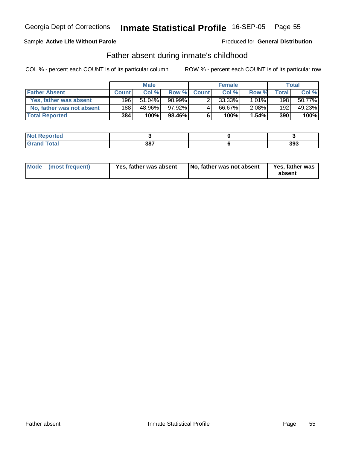### Sample **Active Life Without Parole**

Produced for **General Distribution**

### Father absent during inmate's childhood

|                           |              | <b>Male</b> |        |             | <b>Female</b> |          |              | Total  |
|---------------------------|--------------|-------------|--------|-------------|---------------|----------|--------------|--------|
| <b>Father Absent</b>      | <b>Count</b> | Col %       |        | Row % Count | Col %         | Row %    | <b>Total</b> | Col %  |
| Yes, father was absent    | 196          | $51.04\%$   | 98.99% |             | 33.33%        | $1.01\%$ | 198          | 50.77% |
| No, father was not absent | 188          | 48.96%      | 97.92% | 4           | 66.67%        | 2.08%    | 192          | 49.23% |
| <b>Total Reported</b>     | 384          | 100%        | 98.46% | 6           | 100%          | 1.54%    | 390          | 100%   |

| <b>rted</b>                      |     |     |
|----------------------------------|-----|-----|
| $\mathcal{L}$ at all<br>$\sim$ . | 387 | 393 |

| Mode (most frequent)<br>Yes, father was absent | No, father was not absent | Yes, father was<br>absent |
|------------------------------------------------|---------------------------|---------------------------|
|------------------------------------------------|---------------------------|---------------------------|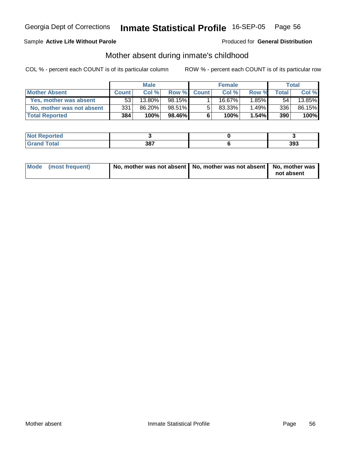#### Sample **Active Life Without Parole**

Produced for **General Distribution**

### Mother absent during inmate's childhood

|                           |              | <b>Male</b> |        |             | <b>Female</b>         |       |              | Total  |
|---------------------------|--------------|-------------|--------|-------------|-----------------------|-------|--------------|--------|
| <b>Mother Absent</b>      | <b>Count</b> | Col %       |        | Row % Count | Col %                 | Row % | <b>Total</b> | Col %  |
| Yes, mother was absent    | 53           | 13.80%      | 98.15% |             | 16.67 $\overline{\%}$ | 1.85% | 54           | 13.85% |
| No, mother was not absent | 331          | 86.20%      | 98.51% | 5           | 83.33%                | 1.49% | 336          | 86.15% |
| <b>Total Reported</b>     | 384          | 100%        | 98.46% | 6           | 100%                  | 1.54% | 390          | 100%   |

| <b>rted</b>                      |     |     |
|----------------------------------|-----|-----|
| $\mathcal{L}$ at all<br>$\sim$ . | 387 | 393 |

| Mode (most frequent) | No, mother was not absent   No, mother was not absent   No, mother was |            |
|----------------------|------------------------------------------------------------------------|------------|
|                      |                                                                        | not absent |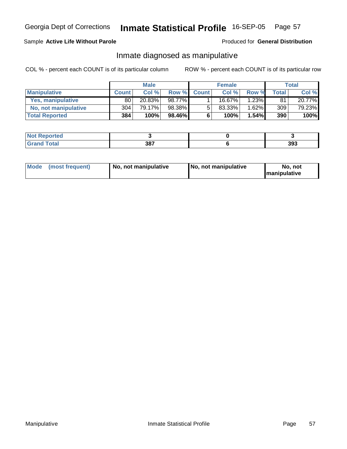#### Sample **Active Life Without Parole**

#### Produced for **General Distribution**

### Inmate diagnosed as manipulative

|                          |              | <b>Male</b> |              |              | <b>Female</b> |          |       | Total  |
|--------------------------|--------------|-------------|--------------|--------------|---------------|----------|-------|--------|
| <b>Manipulative</b>      | <b>Count</b> | Col %       | <b>Row %</b> | <b>Count</b> | Col %         | Row %    | Total | Col %  |
| <b>Yes, manipulative</b> | 80           | 20.83%      | 98.77%       |              | $16.67\%$     | $1.23\%$ | 81    | 20.77% |
| No, not manipulative     | 304          | 79.17%      | 98.38%       | 5            | 83.33%        | $1.62\%$ | 309   | 79.23% |
| <b>Total Reported</b>    | 384          | 100%        | $98.46\%$    | 6            | 100%          | $1.54\%$ | 390   | 100%   |

| neo                      |     |     |
|--------------------------|-----|-----|
| $f$ aka $f$<br>$- \cdot$ | 387 | 393 |

| Mode | (most frequent) | No. not manipulative | <b>I</b> No. not manipulative | not<br>No<br><b>Imanipulative</b> |
|------|-----------------|----------------------|-------------------------------|-----------------------------------|
|------|-----------------|----------------------|-------------------------------|-----------------------------------|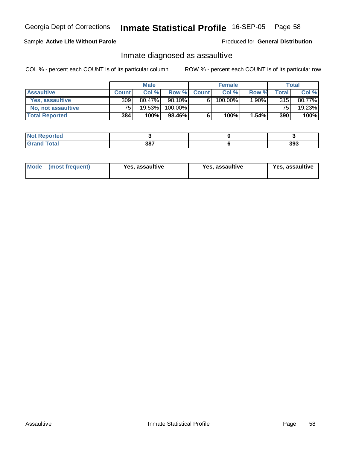### Sample **Active Life Without Parole**

Produced for **General Distribution**

### Inmate diagnosed as assaultive

|                       |              | <b>Male</b> |         |             | <b>Female</b> |       |                 | Total  |
|-----------------------|--------------|-------------|---------|-------------|---------------|-------|-----------------|--------|
| <b>Assaultive</b>     | <b>Count</b> | Col %       |         | Row % Count | Col %         | Row % | <b>Total</b>    | Col %  |
| Yes. assaultive       | 309          | 80.47%      | 98.10%  | 6           | 100.00%       | 1.90% | 315             | 80.77% |
| No, not assaultive    | 75.          | 19.53%      | 100.00% |             |               |       | 75 <sub>1</sub> | 19.23% |
| <b>Total Reported</b> | 384          | 100%        | 98.46%  | 6           | 100%          | 1.54% | 390             | 100%   |

| <b>rted</b>                      |     |     |
|----------------------------------|-----|-----|
| $\mathcal{L}$ at all<br>$\sim$ . | 387 | 393 |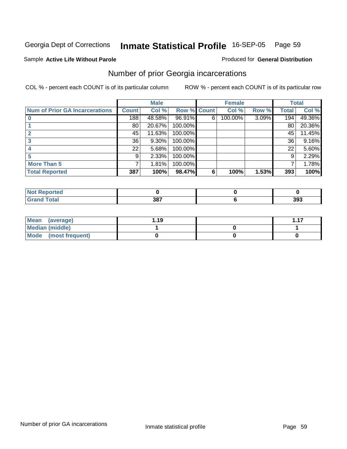#### Sample **Active Life Without Parole**

#### Produced for **General Distribution**

### Number of prior Georgia incarcerations

|                                       |              | <b>Male</b> |                    |   | <b>Female</b> |       |       | <b>Total</b> |
|---------------------------------------|--------------|-------------|--------------------|---|---------------|-------|-------|--------------|
| <b>Num of Prior GA Incarcerations</b> | <b>Count</b> | Col %       | <b>Row % Count</b> |   | Col %         | Row % | Total | Col %        |
|                                       | 188          | 48.58%      | 96.91%             | 6 | 100.00%       | 3.09% | 194   | 49.36%       |
|                                       | 80           | 20.67%      | 100.00%            |   |               |       | 80    | 20.36%       |
|                                       | 45           | 11.63%      | 100.00%            |   |               |       | 45    | 11.45%       |
|                                       | 36           | 9.30%       | 100.00%            |   |               |       | 36    | 9.16%        |
|                                       | 22           | 5.68%       | 100.00%            |   |               |       | 22    | 5.60%        |
|                                       | 9            | 2.33%       | 100.00%            |   |               |       | 9     | 2.29%        |
| <b>More Than 5</b>                    | 7            | 1.81%       | 100.00%            |   |               |       | 7     | 1.78%        |
| <b>Total Reported</b>                 | 387          | 100%        | 98.47%             | 6 | 100%          | 1.53% | 393   | 100%         |

| -<br>11 H L |             |              |
|-------------|-------------|--------------|
| ______      | ാറ−<br>JO I | 393<br>- - - |

| Mean (average)         | l.19 | 117 |
|------------------------|------|-----|
| <b>Median (middle)</b> |      |     |
| Mode (most frequent)   |      |     |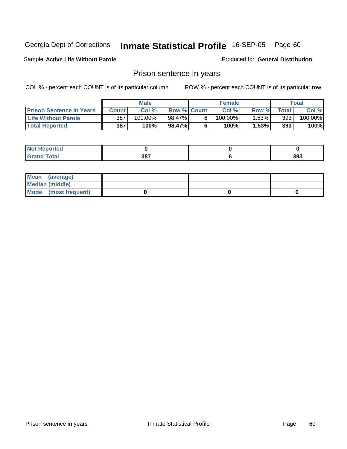#### Sample **Active Life Without Parole**

Produced for **General Distribution**

### Prison sentence in years

|                                 |              | Male    |                    | <b>Female</b> |       |       | $\tau$ otal |
|---------------------------------|--------------|---------|--------------------|---------------|-------|-------|-------------|
| <b>Prison Sentence In Years</b> | <b>Count</b> | Col %   | <b>Row % Count</b> | Col %         | Row % | Total | Col %       |
| <b>Life Without Parole</b>      | 387          | 100.00% | 98.47%             | $100.00\%$    | 1.53% | 393   | $100.00\%$  |
| <b>Total Reported</b>           | 387          | 100%    | 98.47%             | $100\%$       | 1.53% | 393   | 100%        |

| <b>Not Reported</b> |             |     |
|---------------------|-------------|-----|
| <b>otal</b>         | 207<br>၁၀ ၊ | 393 |

| Mean (average)       |  |  |
|----------------------|--|--|
| Median (middle)      |  |  |
| Mode (most frequent) |  |  |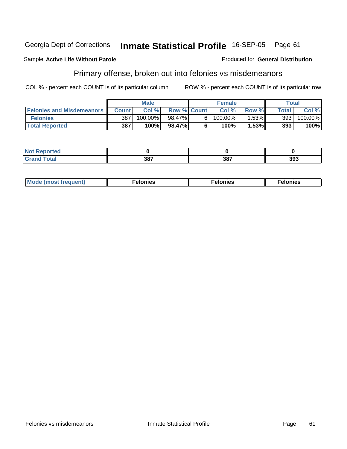#### Sample **Active Life Without Parole**

# Primary offense, broken out into felonies vs misdemeanors

COL % - percent each COUNT is of its particular column ROW % - percent each COUNT is of its particular row

|                                  | <b>Male</b> |            |                    | <b>Female</b> | Total    |       |            |
|----------------------------------|-------------|------------|--------------------|---------------|----------|-------|------------|
| <b>Felonies and Misdemeanors</b> | Count I     | Col %      | <b>Row % Count</b> | Col %         | Row %    | Total | Col %      |
| <b>Felonies</b>                  | 387         | $100.00\%$ | 98.47%             | $100.00\%$    | $1.53\%$ | 393   | $100.00\%$ |
| <b>Total Reported</b>            | 387         | 100%       | 98.47%             | 100%          | 1.53%    | 393   | 100%       |

| <b>Not</b><br>Reported<br>   |     |            |     |
|------------------------------|-----|------------|-----|
| <b>Total</b><br><b>Grand</b> | 207 | 207<br>oo. | 393 |

| <b>Mo</b><br>requent)<br>onies<br>.<br>____ | nies.<br>חי<br>____ | <b>onies</b><br>. |
|---------------------------------------------|---------------------|-------------------|
|---------------------------------------------|---------------------|-------------------|

Produced for **General Distribution**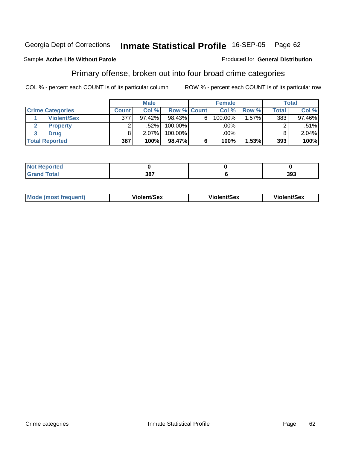#### Sample **Active Life Without Parole**

### Primary offense, broken out into four broad crime categories

COL % - percent each COUNT is of its particular column ROW % - percent each COUNT is of its particular row

Produced for **General Distribution**

|                         |              | <b>Male</b> |             |   | <b>Female</b> |          |              | <b>Total</b> |
|-------------------------|--------------|-------------|-------------|---|---------------|----------|--------------|--------------|
| <b>Crime Categories</b> | <b>Count</b> | Col%        | Row % Count |   | Col %         | Row %    | <b>Total</b> | Col %        |
| <b>Violent/Sex</b>      | 377          | $97.42\%$   | 98.43%      | 6 | 100.00%       | $1.57\%$ | 383          | 97.46%       |
| <b>Property</b>         |              | $.52\%$     | $100.00\%$  |   | .00%          |          |              | $.51\%$      |
| <b>Drug</b>             |              | $2.07\%$    | $100.00\%$  |   | .00%          |          |              | 2.04%        |
| <b>Total Reported</b>   | 387          | 100%        | 98.47%      |   | 100%          | 1.53%    | 393          | 100%         |

| $-$<br>_____ | 207 | <b>م0פ</b><br>აჟა |
|--------------|-----|-------------------|

| <b>Mode (most frequent)</b> | <b>Violent/Sex</b> | <b>Violent/Sex</b> | <b>Violent/Sex</b> |
|-----------------------------|--------------------|--------------------|--------------------|
|                             |                    |                    |                    |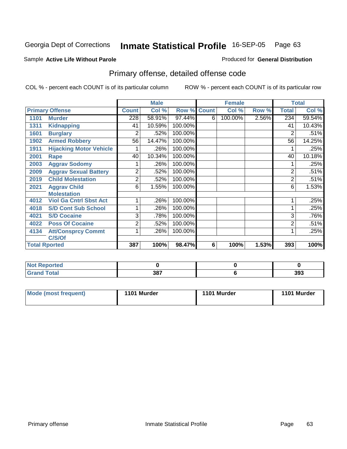#### Sample **Active Life Without Parole**

#### Produced for **General Distribution**

# Primary offense, detailed offense code

|      |                                |              | <b>Male</b> |         |             | <b>Female</b> |       | <b>Total</b>   |        |
|------|--------------------------------|--------------|-------------|---------|-------------|---------------|-------|----------------|--------|
|      | <b>Primary Offense</b>         | <b>Count</b> | Col %       |         | Row % Count | Col %         | Row % | <b>Total</b>   | Col %  |
| 1101 | <b>Murder</b>                  | 228          | 58.91%      | 97.44%  | 6           | 100.00%       | 2.56% | 234            | 59.54% |
| 1311 | <b>Kidnapping</b>              | 41           | 10.59%      | 100.00% |             |               |       | 41             | 10.43% |
| 1601 | <b>Burglary</b>                | 2            | .52%        | 100.00% |             |               |       | $\overline{2}$ | .51%   |
| 1902 | <b>Armed Robbery</b>           | 56           | 14.47%      | 100.00% |             |               |       | 56             | 14.25% |
| 1911 | <b>Hijacking Motor Vehicle</b> |              | .26%        | 100.00% |             |               |       |                | .25%   |
| 2001 | Rape                           | 40           | 10.34%      | 100.00% |             |               |       | 40             | 10.18% |
| 2003 | <b>Aggrav Sodomy</b>           |              | .26%        | 100.00% |             |               |       |                | .25%   |
| 2009 | <b>Aggrav Sexual Battery</b>   | 2            | .52%        | 100.00% |             |               |       | $\overline{2}$ | .51%   |
| 2019 | <b>Child Molestation</b>       | 2            | .52%        | 100.00% |             |               |       | 2              | .51%   |
| 2021 | <b>Aggrav Child</b>            | 6            | 1.55%       | 100.00% |             |               |       | 6              | 1.53%  |
|      | <b>Molestation</b>             |              |             |         |             |               |       |                |        |
| 4012 | <b>Viol Ga Cntrl Sbst Act</b>  |              | .26%        | 100.00% |             |               |       |                | .25%   |
| 4018 | <b>S/D Cont Sub School</b>     |              | .26%        | 100.00% |             |               |       |                | .25%   |
| 4021 | <b>S/D Cocaine</b>             | 3            | .78%        | 100.00% |             |               |       | 3              | .76%   |
| 4022 | <b>Poss Of Cocaine</b>         | 2            | .52%        | 100.00% |             |               |       | 2              | .51%   |
| 4134 | <b>Att/Consprcy Commt</b>      |              | .26%        | 100.00% |             |               |       |                | .25%   |
|      | C/S/Of                         |              |             |         |             |               |       |                |        |
|      | <b>Total Rported</b>           | 387          | 100%        | 98.47%  | 6           | 100%          | 1.53% | 393            | 100%   |

| <b>Not</b><br>Reported<br>. |            |     |
|-----------------------------|------------|-----|
| <b>Total</b><br>' Grand     | 207<br>oo. | 393 |

| <b>Mode (most frequent)</b> | 1101 Murder | 1101 Murder | 1101 Murder |
|-----------------------------|-------------|-------------|-------------|
|-----------------------------|-------------|-------------|-------------|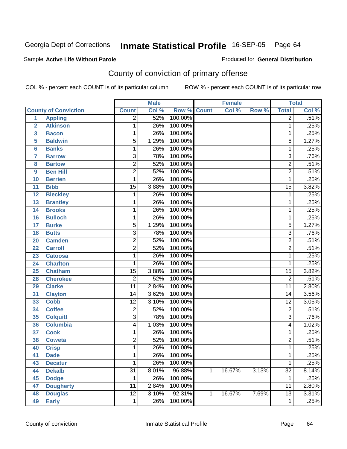#### Sample **Active Life Without Parole**

Produced for **General Distribution**

# County of conviction of primary offense

|                |                             |                 | <b>Male</b> |         |              | <b>Female</b> |       |                 | <b>Total</b> |
|----------------|-----------------------------|-----------------|-------------|---------|--------------|---------------|-------|-----------------|--------------|
|                | <b>County of Conviction</b> | <b>Count</b>    | Col %       | Row %   | <b>Count</b> | Col %         | Row % | <b>Total</b>    | Col %        |
| 1              | <b>Appling</b>              | $\overline{2}$  | .52%        | 100.00% |              |               |       | $\overline{2}$  | .51%         |
| $\overline{2}$ | <b>Atkinson</b>             | 1               | .26%        | 100.00% |              |               |       | 1               | .25%         |
| 3              | <b>Bacon</b>                | 1               | .26%        | 100.00% |              |               |       | 1               | .25%         |
| 5              | <b>Baldwin</b>              | 5               | 1.29%       | 100.00% |              |               |       | $\overline{5}$  | 1.27%        |
| 6              | <b>Banks</b>                | 1               | .26%        | 100.00% |              |               |       | 1               | .25%         |
| $\overline{7}$ | <b>Barrow</b>               | $\overline{3}$  | .78%        | 100.00% |              |               |       | $\overline{3}$  | .76%         |
| 8              | <b>Bartow</b>               | $\overline{2}$  | .52%        | 100.00% |              |               |       | $\overline{2}$  | .51%         |
| 9              | <b>Ben Hill</b>             | $\overline{2}$  | .52%        | 100.00% |              |               |       | $\overline{2}$  | .51%         |
| 10             | <b>Berrien</b>              | 1               | .26%        | 100.00% |              |               |       | 1               | .25%         |
| 11             | <b>Bibb</b>                 | $\overline{15}$ | 3.88%       | 100.00% |              |               |       | $\overline{15}$ | 3.82%        |
| 12             | <b>Bleckley</b>             | 1               | .26%        | 100.00% |              |               |       | 1               | .25%         |
| 13             | <b>Brantley</b>             | 1               | .26%        | 100.00% |              |               |       | 1               | .25%         |
| 14             | <b>Brooks</b>               | 1               | .26%        | 100.00% |              |               |       | 1               | .25%         |
| 16             | <b>Bulloch</b>              | 1               | .26%        | 100.00% |              |               |       | 1               | .25%         |
| 17             | <b>Burke</b>                | $\overline{5}$  | 1.29%       | 100.00% |              |               |       | $\overline{5}$  | 1.27%        |
| 18             | <b>Butts</b>                | 3               | .78%        | 100.00% |              |               |       | $\overline{3}$  | .76%         |
| 20             | <b>Camden</b>               | $\overline{2}$  | .52%        | 100.00% |              |               |       | $\overline{2}$  | .51%         |
| 22             | <b>Carroll</b>              | $\overline{2}$  | .52%        | 100.00% |              |               |       | $\overline{2}$  | .51%         |
| 23             | <b>Catoosa</b>              | 1               | .26%        | 100.00% |              |               |       | 1               | .25%         |
| 24             | <b>Charlton</b>             | 1               | .26%        | 100.00% |              |               |       | 1               | .25%         |
| 25             | <b>Chatham</b>              | $\overline{15}$ | 3.88%       | 100.00% |              |               |       | $\overline{15}$ | 3.82%        |
| 28             | <b>Cherokee</b>             | $\overline{2}$  | .52%        | 100.00% |              |               |       | $\overline{2}$  | .51%         |
| 29             | <b>Clarke</b>               | $\overline{11}$ | 2.84%       | 100.00% |              |               |       | $\overline{11}$ | 2.80%        |
| 31             | <b>Clayton</b>              | 14              | 3.62%       | 100.00% |              |               |       | 14              | 3.56%        |
| 33             | <b>Cobb</b>                 | $\overline{12}$ | 3.10%       | 100.00% |              |               |       | $\overline{12}$ | 3.05%        |
| 34             | <b>Coffee</b>               | $\overline{2}$  | .52%        | 100.00% |              |               |       | $\overline{c}$  | .51%         |
| 35             | <b>Colquitt</b>             | $\overline{3}$  | .78%        | 100.00% |              |               |       | $\overline{3}$  | .76%         |
| 36             | <b>Columbia</b>             | 4               | 1.03%       | 100.00% |              |               |       | 4               | 1.02%        |
| 37             | <b>Cook</b>                 | 1               | .26%        | 100.00% |              |               |       | 1               | .25%         |
| 38             | <b>Coweta</b>               | $\overline{2}$  | .52%        | 100.00% |              |               |       | $\overline{2}$  | .51%         |
| 40             | <b>Crisp</b>                | 1               | .26%        | 100.00% |              |               |       | 1               | .25%         |
| 41             | <b>Dade</b>                 | 1               | .26%        | 100.00% |              |               |       | 1               | .25%         |
| 43             | <b>Decatur</b>              | $\mathbf{1}$    | .26%        | 100.00% |              |               |       | $\mathbf{1}$    | .25%         |
| 44             | <b>Dekalb</b>               | $\overline{31}$ | 8.01%       | 96.88%  | $\mathbf{1}$ | 16.67%        | 3.13% | $\overline{32}$ | 8.14%        |
| 45             | <b>Dodge</b>                | 1               | .26%        | 100.00% |              |               |       | 1               | .25%         |
| 47             | <b>Dougherty</b>            | 11              | 2.84%       | 100.00% |              |               |       | 11              | 2.80%        |
| 48             | <b>Douglas</b>              | $\overline{12}$ | 3.10%       | 92.31%  | $\mathbf{1}$ | 16.67%        | 7.69% | $\overline{13}$ | 3.31%        |
| 49             | <b>Early</b>                | 1               | .26%        | 100.00% |              |               |       | 1               | .25%         |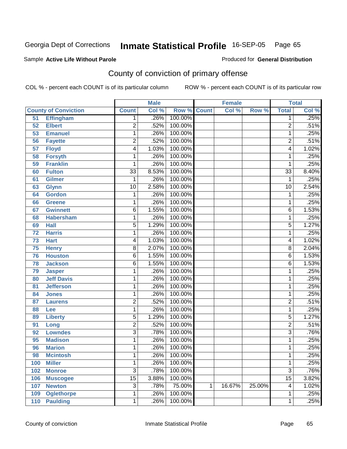#### Sample **Active Life Without Parole**

Produced for **General Distribution**

# County of conviction of primary offense

|                 |                             |                 | <b>Male</b> |                    |   | <b>Female</b> |        |                 | <b>Total</b> |
|-----------------|-----------------------------|-----------------|-------------|--------------------|---|---------------|--------|-----------------|--------------|
|                 | <b>County of Conviction</b> | <b>Count</b>    | Col %       | <b>Row % Count</b> |   | Col %         | Row %  | <b>Total</b>    | Col %        |
| 51              | <b>Effingham</b>            | 1               | .26%        | 100.00%            |   |               |        | 1               | .25%         |
| 52              | <b>Elbert</b>               | $\overline{2}$  | .52%        | 100.00%            |   |               |        | $\overline{2}$  | .51%         |
| 53              | <b>Emanuel</b>              | 1               | .26%        | 100.00%            |   |               |        | $\mathbf{1}$    | .25%         |
| 56              | <b>Fayette</b>              | 2               | .52%        | 100.00%            |   |               |        | $\overline{2}$  | .51%         |
| $\overline{57}$ | <b>Floyd</b>                | 4               | 1.03%       | 100.00%            |   |               |        | 4               | 1.02%        |
| 58              | <b>Forsyth</b>              | 1               | .26%        | 100.00%            |   |               |        | 1               | .25%         |
| 59              | <b>Franklin</b>             | 1               | .26%        | 100.00%            |   |               |        | 1               | .25%         |
| 60              | <b>Fulton</b>               | $\overline{33}$ | 8.53%       | 100.00%            |   |               |        | $\overline{33}$ | 8.40%        |
| 61              | <b>Gilmer</b>               | 1               | .26%        | 100.00%            |   |               |        | $\mathbf{1}$    | .25%         |
| 63              | <b>Glynn</b>                | $\overline{10}$ | 2.58%       | 100.00%            |   |               |        | $\overline{10}$ | 2.54%        |
| 64              | <b>Gordon</b>               | 1               | .26%        | 100.00%            |   |               |        | 1               | .25%         |
| 66              | <b>Greene</b>               | 1               | .26%        | 100.00%            |   |               |        | 1               | .25%         |
| 67              | <b>Gwinnett</b>             | 6               | 1.55%       | 100.00%            |   |               |        | $\overline{6}$  | 1.53%        |
| 68              | <b>Habersham</b>            | 1               | .26%        | 100.00%            |   |               |        | 1               | .25%         |
| 69              | <b>Hall</b>                 | $\overline{5}$  | 1.29%       | 100.00%            |   |               |        | $\overline{5}$  | 1.27%        |
| 72              | <b>Harris</b>               | 1               | .26%        | 100.00%            |   |               |        | 1               | .25%         |
| $\overline{73}$ | <b>Hart</b>                 | 4               | 1.03%       | 100.00%            |   |               |        | 4               | 1.02%        |
| 75              | <b>Henry</b>                | $\overline{8}$  | 2.07%       | 100.00%            |   |               |        | $\overline{8}$  | 2.04%        |
| 76              | <b>Houston</b>              | $\overline{6}$  | 1.55%       | 100.00%            |   |               |        | $\overline{6}$  | 1.53%        |
| 78              | <b>Jackson</b>              | 6               | 1.55%       | 100.00%            |   |               |        | $\overline{6}$  | 1.53%        |
| 79              | <b>Jasper</b>               | 1               | .26%        | 100.00%            |   |               |        | 1               | .25%         |
| 80              | <b>Jeff Davis</b>           | 1               | .26%        | 100.00%            |   |               |        | 1               | .25%         |
| 81              | <b>Jefferson</b>            | 1               | .26%        | 100.00%            |   |               |        | 1               | .25%         |
| 84              | <b>Jones</b>                | 1               | .26%        | 100.00%            |   |               |        | 1               | .25%         |
| 87              | <b>Laurens</b>              | $\overline{2}$  | .52%        | 100.00%            |   |               |        | $\overline{2}$  | .51%         |
| 88              | Lee                         | 1               | .26%        | 100.00%            |   |               |        | 1               | .25%         |
| 89              | <b>Liberty</b>              | $\overline{5}$  | 1.29%       | 100.00%            |   |               |        | $\overline{5}$  | 1.27%        |
| 91              | Long                        | $\overline{2}$  | .52%        | 100.00%            |   |               |        | $\overline{2}$  | .51%         |
| 92              | <b>Lowndes</b>              | $\overline{3}$  | .78%        | 100.00%            |   |               |        | $\overline{3}$  | .76%         |
| 95              | <b>Madison</b>              | 1               | .26%        | 100.00%            |   |               |        | 1               | .25%         |
| 96              | <b>Marion</b>               | 1               | .26%        | 100.00%            |   |               |        | 1               | .25%         |
| 98              | <b>Mcintosh</b>             | 1               | .26%        | 100.00%            |   |               |        | 1               | .25%         |
| 100             | <b>Miller</b>               | 1               | .26%        | 100.00%            |   |               |        | 1               | .25%         |
| 102             | <b>Monroe</b>               | $\overline{3}$  | .78%        | 100.00%            |   |               |        | $\overline{3}$  | .76%         |
| 106             | <b>Muscogee</b>             | $\overline{15}$ | 3.88%       | 100.00%            |   |               |        | $\overline{15}$ | 3.82%        |
| 107             | <b>Newton</b>               | 3               | .78%        | 75.00%             | 1 | 16.67%        | 25.00% | 4               | 1.02%        |
| 109             | <b>Oglethorpe</b>           | 1               | .26%        | 100.00%            |   |               |        | 1               | .25%         |
| 110             | <b>Paulding</b>             | 1               | .26%        | 100.00%            |   |               |        | 1               | .25%         |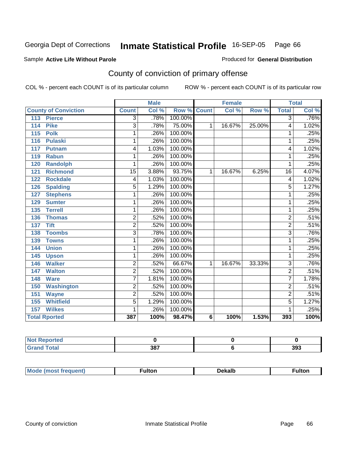#### Sample **Active Life Without Parole**

Produced for **General Distribution**

# County of conviction of primary offense

|                             | <b>Male</b>     |       |         | <b>Female</b> |                          |        | <b>Total</b>    |       |
|-----------------------------|-----------------|-------|---------|---------------|--------------------------|--------|-----------------|-------|
| <b>County of Conviction</b> | <b>Count</b>    | Col % | Row %   | <b>Count</b>  | $\overline{\text{Col}}%$ | Row %  | <b>Total</b>    | Col % |
| <b>Pierce</b><br>113        | 3               | .78%  | 100.00% |               |                          |        | $\overline{3}$  | .76%  |
| <b>Pike</b><br>114          | 3               | .78%  | 75.00%  | 1             | 16.67%                   | 25.00% | 4               | 1.02% |
| <b>Polk</b><br>115          | 1               | .26%  | 100.00% |               |                          |        | 1               | .25%  |
| <b>Pulaski</b><br>116       | 1               | .26%  | 100.00% |               |                          |        | 1               | .25%  |
| 117<br><b>Putnam</b>        | 4               | 1.03% | 100.00% |               |                          |        | 4               | 1.02% |
| 119<br><b>Rabun</b>         | 1               | .26%  | 100.00% |               |                          |        | 1               | .25%  |
| <b>Randolph</b><br>120      | 1               | .26%  | 100.00% |               |                          |        | 1               | .25%  |
| <b>Richmond</b><br>121      | $\overline{15}$ | 3.88% | 93.75%  | $\mathbf 1$   | 16.67%                   | 6.25%  | $\overline{16}$ | 4.07% |
| <b>Rockdale</b><br>122      | 4               | 1.03% | 100.00% |               |                          |        | $\overline{4}$  | 1.02% |
| <b>Spalding</b><br>126      | 5               | 1.29% | 100.00% |               |                          |        | 5               | 1.27% |
| <b>Stephens</b><br>127      | 1               | .26%  | 100.00% |               |                          |        | 1               | .25%  |
| 129<br><b>Sumter</b>        | 1               | .26%  | 100.00% |               |                          |        | 1               | .25%  |
| 135<br><b>Terrell</b>       | 1               | .26%  | 100.00% |               |                          |        | 1               | .25%  |
| 136<br><b>Thomas</b>        | $\overline{2}$  | .52%  | 100.00% |               |                          |        | $\overline{2}$  | .51%  |
| <b>Tift</b><br>137          | $\overline{2}$  | .52%  | 100.00% |               |                          |        | $\overline{2}$  | .51%  |
| <b>Toombs</b><br>138        | 3               | .78%  | 100.00% |               |                          |        | $\overline{3}$  | .76%  |
| 139<br><b>Towns</b>         | 1               | .26%  | 100.00% |               |                          |        | 1               | .25%  |
| <b>Union</b><br>144         | 1               | .26%  | 100.00% |               |                          |        | 1               | .25%  |
| 145<br><b>Upson</b>         | 1               | .26%  | 100.00% |               |                          |        | 1               | .25%  |
| <b>Walker</b><br>146        | $\overline{2}$  | .52%  | 66.67%  | 1             | 16.67%                   | 33.33% | $\overline{3}$  | .76%  |
| 147<br><b>Walton</b>        | $\overline{2}$  | .52%  | 100.00% |               |                          |        | $\overline{2}$  | .51%  |
| <b>Ware</b><br>148          | 7               | 1.81% | 100.00% |               |                          |        | 7               | 1.78% |
| <b>Washington</b><br>150    | $\overline{2}$  | .52%  | 100.00% |               |                          |        | $\overline{2}$  | .51%  |
| 151<br><b>Wayne</b>         | $\overline{2}$  | .52%  | 100.00% |               |                          |        | $\overline{2}$  | .51%  |
| <b>Whitfield</b><br>155     | 5               | 1.29% | 100.00% |               |                          |        | 5               | 1.27% |
| 157<br><b>Wilkes</b>        | 1               | .26%  | 100.00% |               |                          |        | 1               | .25%  |
| <b>Total Rported</b>        | 387             | 100%  | 98.47%  | 6             | 100%                     | 1.53%  | 393             | 100%  |

| orted            |     |     |
|------------------|-----|-----|
| $F0$ tol<br>---- | 387 | 393 |

| М<br>ulton<br>nuemu |  | <b>Dekalb</b><br>------- | ∶ulton |
|---------------------|--|--------------------------|--------|
|                     |  |                          |        |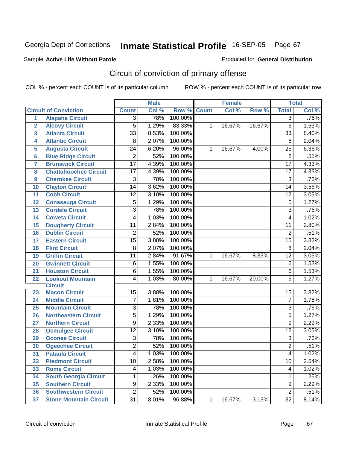Produced for **General Distribution**

#### Sample **Active Life Without Parole**

# Circuit of conviction of primary offense

|                 |                               | <b>Male</b>     |       | Female             |   |        | <b>Total</b> |                 |       |
|-----------------|-------------------------------|-----------------|-------|--------------------|---|--------|--------------|-----------------|-------|
|                 | <b>Circuit of Conviction</b>  | <b>Count</b>    | Col % | <b>Row % Count</b> |   | Col %  | Row %        | <b>Total</b>    | Col % |
| 1               | <b>Alapaha Circuit</b>        | 3               | .78%  | 100.00%            |   |        |              | $\overline{3}$  | .76%  |
| $\overline{2}$  | <b>Alcovy Circuit</b>         | 5               | 1.29% | 83.33%             | 1 | 16.67% | 16.67%       | $\overline{6}$  | 1.53% |
| 3               | <b>Atlanta Circuit</b>        | $\overline{33}$ | 8.53% | 100.00%            |   |        |              | $\overline{33}$ | 8.40% |
| 4               | <b>Atlantic Circuit</b>       | 8               | 2.07% | 100.00%            |   |        |              | 8               | 2.04% |
| 5               | <b>Augusta Circuit</b>        | $\overline{24}$ | 6.20% | 96.00%             | 1 | 16.67% | 4.00%        | $\overline{25}$ | 6.36% |
| $6\phantom{1}6$ | <b>Blue Ridge Circuit</b>     | $\overline{2}$  | .52%  | 100.00%            |   |        |              | $\overline{2}$  | .51%  |
| 7               | <b>Brunswick Circuit</b>      | $\overline{17}$ | 4.39% | 100.00%            |   |        |              | $\overline{17}$ | 4.33% |
| 8               | <b>Chattahoochee Circuit</b>  | 17              | 4.39% | 100.00%            |   |        |              | 17              | 4.33% |
| 9               | <b>Cherokee Circuit</b>       | 3               | .78%  | 100.00%            |   |        |              | $\overline{3}$  | .76%  |
| 10              | <b>Clayton Circuit</b>        | 14              | 3.62% | 100.00%            |   |        |              | 14              | 3.56% |
| 11              | <b>Cobb Circuit</b>           | $\overline{12}$ | 3.10% | 100.00%            |   |        |              | $\overline{12}$ | 3.05% |
| 12              | <b>Conasauga Circuit</b>      | 5               | 1.29% | 100.00%            |   |        |              | 5               | 1.27% |
| 13              | <b>Cordele Circuit</b>        | 3               | .78%  | 100.00%            |   |        |              | $\overline{3}$  | .76%  |
| 14              | <b>Coweta Circuit</b>         | 4               | 1.03% | 100.00%            |   |        |              | $\overline{4}$  | 1.02% |
| 15              | <b>Dougherty Circuit</b>      | 11              | 2.84% | 100.00%            |   |        |              | $\overline{11}$ | 2.80% |
| 16              | <b>Dublin Circuit</b>         | 2               | .52%  | 100.00%            |   |        |              | $\overline{2}$  | .51%  |
| 17              | <b>Eastern Circuit</b>        | $\overline{15}$ | 3.88% | 100.00%            |   |        |              | 15              | 3.82% |
| 18              | <b>Flint Circuit</b>          | 8               | 2.07% | 100.00%            |   |        |              | 8               | 2.04% |
| 19              | <b>Griffin Circuit</b>        | 11              | 2.84% | 91.67%             | 1 | 16.67% | 8.33%        | $\overline{12}$ | 3.05% |
| 20              | <b>Gwinnett Circuit</b>       | 6               | 1.55% | 100.00%            |   |        |              | $\,6$           | 1.53% |
| 21              | <b>Houston Circuit</b>        | 6               | 1.55% | 100.00%            |   |        |              | $\overline{6}$  | 1.53% |
| 22              | <b>Lookout Mountain</b>       | 4               | 1.03% | 80.00%             | 1 | 16.67% | 20.00%       | 5               | 1.27% |
|                 | <b>Circuit</b>                |                 |       |                    |   |        |              |                 |       |
| 23              | <b>Macon Circuit</b>          | 15              | 3.88% | 100.00%            |   |        |              | 15              | 3.82% |
| 24              | <b>Middle Circuit</b>         | 7               | 1.81% | 100.00%            |   |        |              | $\overline{7}$  | 1.78% |
| 25              | <b>Mountain Circuit</b>       | 3               | .78%  | 100.00%            |   |        |              | 3               | .76%  |
| 26              | <b>Northeastern Circuit</b>   | 5               | 1.29% | 100.00%            |   |        |              | 5               | 1.27% |
| 27              | <b>Northern Circuit</b>       | 9               | 2.33% | 100.00%            |   |        |              | $\overline{9}$  | 2.29% |
| 28              | <b>Ocmulgee Circuit</b>       | $\overline{12}$ | 3.10% | 100.00%            |   |        |              | $\overline{12}$ | 3.05% |
| 29              | <b>Oconee Circuit</b>         | 3               | .78%  | 100.00%            |   |        |              | $\overline{3}$  | .76%  |
| 30              | <b>Ogeechee Circuit</b>       | $\overline{2}$  | .52%  | 100.00%            |   |        |              | $\overline{2}$  | .51%  |
| 31              | <b>Pataula Circuit</b>        | 4               | 1.03% | 100.00%            |   |        |              | 4               | 1.02% |
| 32              | <b>Piedmont Circuit</b>       | 10              | 2.58% | 100.00%            |   |        |              | 10              | 2.54% |
| 33              | <b>Rome Circuit</b>           | 4               | 1.03% | 100.00%            |   |        |              | 4               | 1.02% |
| 34              | <b>South Georgia Circuit</b>  | 1               | .26%  | 100.00%            |   |        |              | 1               | .25%  |
| 35              | <b>Southern Circuit</b>       | 9               | 2.33% | 100.00%            |   |        |              | $\overline{9}$  | 2.29% |
| 36              | <b>Southwestern Circuit</b>   | 2               | .52%  | 100.00%            |   |        |              | $\overline{2}$  | .51%  |
| 37              | <b>Stone Mountain Circuit</b> | $\overline{31}$ | 8.01% | 96.88%             | 1 | 16.67% | 3.13%        | $\overline{32}$ | 8.14% |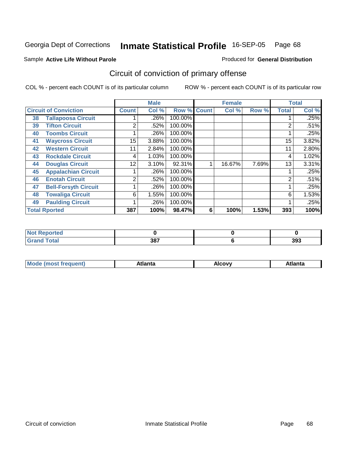Produced for **General Distribution**

#### Sample **Active Life Without Parole**

# Circuit of conviction of primary offense

|    |                              | <b>Male</b>  |       | <b>Female</b>      |   |        | <b>Total</b> |              |         |
|----|------------------------------|--------------|-------|--------------------|---|--------|--------------|--------------|---------|
|    | <b>Circuit of Conviction</b> | <b>Count</b> | Col % | <b>Row % Count</b> |   | Col %  | Row %        | <b>Total</b> | Col %   |
| 38 | <b>Tallapoosa Circuit</b>    |              | .26%  | 100.00%            |   |        |              |              | $.25\%$ |
| 39 | <b>Tifton Circuit</b>        | 2            | .52%  | 100.00%            |   |        |              | 2            | .51%    |
| 40 | <b>Toombs Circuit</b>        |              | .26%  | 100.00%            |   |        |              |              | .25%    |
| 41 | <b>Waycross Circuit</b>      | 15           | 3.88% | 100.00%            |   |        |              | 15           | 3.82%   |
| 42 | <b>Western Circuit</b>       | 11           | 2.84% | 100.00%            |   |        |              | 11           | 2.80%   |
| 43 | <b>Rockdale Circuit</b>      | 4            | 1.03% | 100.00%            |   |        |              | 4            | 1.02%   |
| 44 | <b>Douglas Circuit</b>       | 12           | 3.10% | 92.31%             |   | 16.67% | 7.69%        | 13           | 3.31%   |
| 45 | <b>Appalachian Circuit</b>   |              | .26%  | 100.00%            |   |        |              |              | .25%    |
| 46 | <b>Enotah Circuit</b>        | 2            | .52%  | 100.00%            |   |        |              | 2            | .51%    |
| 47 | <b>Bell-Forsyth Circuit</b>  |              | .26%  | 100.00%            |   |        |              |              | .25%    |
| 48 | <b>Towaliga Circuit</b>      | 6            | 1.55% | 100.00%            |   |        |              | 6            | 1.53%   |
| 49 | <b>Paulding Circuit</b>      |              | .26%  | 100.00%            |   |        |              |              | .25%    |
|    | <b>Total Rported</b>         | 387          | 100%  | 98.47%             | 6 | 100%   | 1.53%        | 393          | 100%    |

| prtea<br><b>NOT REPO</b> |     |     |
|--------------------------|-----|-----|
|                          | 387 | 393 |

| $M_{\Omega}$<br>ann | <b>\tlanta</b> | Alcovv | . |
|---------------------|----------------|--------|---|
|                     |                |        |   |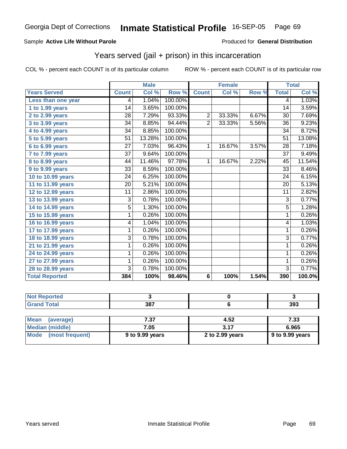#### Sample **Active Life Without Parole**

#### Produced for **General Distribution**

## Years served (jail + prison) in this incarceration

|                       |                 | <b>Male</b>               |         |                | <b>Female</b> |       | <b>Total</b>    |                            |
|-----------------------|-----------------|---------------------------|---------|----------------|---------------|-------|-----------------|----------------------------|
| <b>Years Served</b>   | <b>Count</b>    | $\overline{\text{Col}}$ % | Row %   | <b>Count</b>   | Col %         | Row % | <b>Total</b>    | $\overline{\text{Col }^9}$ |
| Less than one year    | 4               | 1.04%                     | 100.00% |                |               |       | 4               | 1.03%                      |
| 1 to 1.99 years       | 14              | 3.65%                     | 100.00% |                |               |       | 14              | 3.59%                      |
| 2 to 2.99 years       | 28              | 7.29%                     | 93.33%  | $\overline{2}$ | 33.33%        | 6.67% | 30              | 7.69%                      |
| 3 to 3.99 years       | $\overline{34}$ | 8.85%                     | 94.44%  | $\overline{2}$ | 33.33%        | 5.56% | 36              | 9.23%                      |
| 4 to 4.99 years       | 34              | 8.85%                     | 100.00% |                |               |       | $\overline{34}$ | 8.72%                      |
| 5 to 5.99 years       | $\overline{51}$ | 13.28%                    | 100.00% |                |               |       | $\overline{51}$ | 13.08%                     |
| 6 to 6.99 years       | 27              | 7.03%                     | 96.43%  | 1              | 16.67%        | 3.57% | 28              | 7.18%                      |
| 7 to 7.99 years       | 37              | 9.64%                     | 100.00% |                |               |       | $\overline{37}$ | 9.49%                      |
| 8 to 8.99 years       | 44              | 11.46%                    | 97.78%  | 1              | 16.67%        | 2.22% | 45              | 11.54%                     |
| 9 to 9.99 years       | 33              | 8.59%                     | 100.00% |                |               |       | 33              | 8.46%                      |
| 10 to 10.99 years     | $\overline{24}$ | 6.25%                     | 100.00% |                |               |       | $\overline{24}$ | 6.15%                      |
| 11 to 11.99 years     | $\overline{20}$ | 5.21%                     | 100.00% |                |               |       | $\overline{20}$ | 5.13%                      |
| 12 to 12.99 years     | $\overline{11}$ | 2.86%                     | 100.00% |                |               |       | $\overline{11}$ | 2.82%                      |
| 13 to 13.99 years     | 3               | 0.78%                     | 100.00% |                |               |       | $\overline{3}$  | 0.77%                      |
| 14 to 14.99 years     | 5               | 1.30%                     | 100.00% |                |               |       | $\overline{5}$  | 1.28%                      |
| 15 to 15.99 years     | 1               | 0.26%                     | 100.00% |                |               |       | 1               | 0.26%                      |
| 16 to 16.99 years     | 4               | 1.04%                     | 100.00% |                |               |       | 4               | 1.03%                      |
| 17 to 17.99 years     | $\overline{1}$  | 0.26%                     | 100.00% |                |               |       | $\overline{1}$  | 0.26%                      |
| 18 to 18.99 years     | 3               | 0.78%                     | 100.00% |                |               |       | $\overline{3}$  | 0.77%                      |
| 21 to 21.99 years     | 1               | 0.26%                     | 100.00% |                |               |       | 1               | 0.26%                      |
| 24 to 24.99 years     | 1               | 0.26%                     | 100.00% |                |               |       | 1               | 0.26%                      |
| 27 to 27.99 years     | 1               | 0.26%                     | 100.00% |                |               |       | 1               | 0.26%                      |
| 28 to 28.99 years     | 3               | 0.78%                     | 100.00% |                |               |       | $\overline{3}$  | 0.77%                      |
| <b>Total Reported</b> | 384             | 100%                      | 98.46%  | 6              | 100%          | 1.54% | 390             | 100.0%                     |

| <b>Not Reported</b>      |                 |                 |                 |
|--------------------------|-----------------|-----------------|-----------------|
| <b>Grand Total</b>       | 387             |                 | 393             |
|                          |                 |                 |                 |
| <b>Mean</b><br>(average) | 7.37            | 4.52            | 7.33            |
| <b>Median (middle)</b>   | 7.05            | 3.17            | 6.965           |
| Mode<br>(most frequent)  | 9 to 9.99 years | 2 to 2.99 years | 9 to 9.99 years |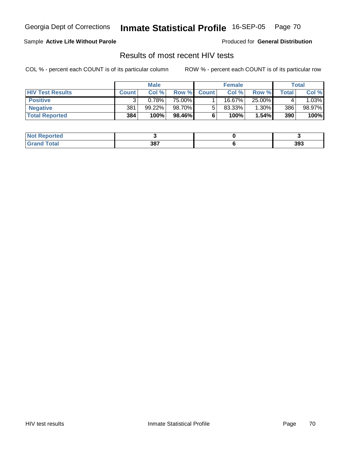### Sample **Active Life Without Parole**

Produced for **General Distribution**

## Results of most recent HIV tests

|                         | <b>Male</b>  |        | <b>Female</b> |              |           | Total  |       |         |
|-------------------------|--------------|--------|---------------|--------------|-----------|--------|-------|---------|
| <b>HIV Test Results</b> | <b>Count</b> | Col %  | Row %         | <b>Count</b> | Col %     | Row %  | Total | Col %   |
| <b>Positive</b>         |              | 0.78%  | 75.00%        |              | 16.67%    | 25.00% |       | $.03\%$ |
| <b>Negative</b>         | 381          | 99.22% | 98.70%        |              | $83.33\%$ | 1.30%  | 386   | 98.97%  |
| <b>Total Reported</b>   | 384          | 100%   | 98.46%        |              | 100%      | 1.54%  | 390   | 100%    |

| <b>Not Reported</b>  |     |     |
|----------------------|-----|-----|
| <b>Total</b><br>Gran | 387 | 393 |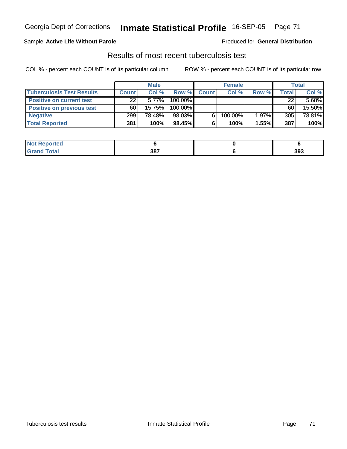#### Sample **Active Life Without Parole**

#### Produced for **General Distribution**

## Results of most recent tuberculosis test

|                                  | <b>Male</b>  |           | <b>Female</b> |              |         | <b>Total</b> |       |          |
|----------------------------------|--------------|-----------|---------------|--------------|---------|--------------|-------|----------|
| <b>Tuberculosis Test Results</b> | <b>Count</b> | Col%      | Row %         | <b>Count</b> | Col %   | Row %        | Total | Col %    |
| <b>Positive on current test</b>  | 22           | $5.77\%$  | 100.00%       |              |         |              | 22    | $5.68\%$ |
| <b>Positive on previous test</b> | 60           | $15.75\%$ | 100.00%       |              |         |              | 60    | 15.50%   |
| <b>Negative</b>                  | 299          | 78.48%    | 98.03%        | 6.           | 100.00% | 1.97%        | 305   | 78.81%   |
| <b>Total Reported</b>            | 381          | 100%      | $98.45\%$     |              | 100%    | 1.55%        | 387   | 100%     |

| <b>Not</b><br>Reported |     |     |
|------------------------|-----|-----|
| <b>Total</b>           | 387 | 393 |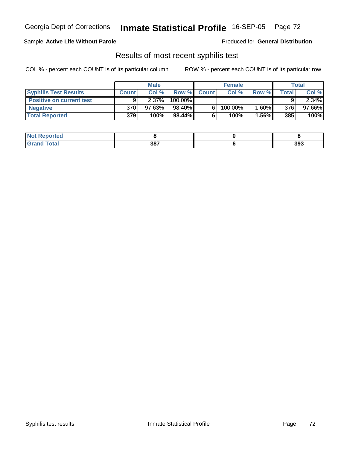#### Sample **Active Life Without Parole**

Produced for **General Distribution**

### Results of most recent syphilis test

|                                 | <b>Male</b>  |           | <b>Female</b> |                    |         | Total    |       |           |
|---------------------------------|--------------|-----------|---------------|--------------------|---------|----------|-------|-----------|
| <b>Syphilis Test Results</b>    | <b>Count</b> | Col %     |               | <b>Row % Count</b> | Col%    | Row %    | Total | Col %     |
| <b>Positive on current test</b> |              | 2.37%     | $100.00\%$    |                    |         |          |       | $2.34\%$  |
| <b>Negative</b>                 | 370          | $97.63\%$ | 98.40%        |                    | 100.00% | 1.60%    | 376   | $97.66\%$ |
| <b>Total Reported</b>           | 379          | 100%      | 98.44%        |                    | 100%    | $1.56\%$ | 385   | 100%      |

| <b>Not Reported</b>   |     |     |
|-----------------------|-----|-----|
| <b>Total</b><br>Granc | 387 | 393 |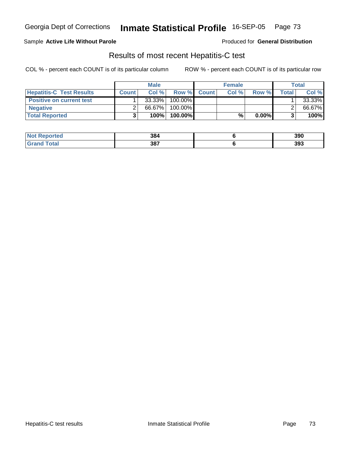### Sample **Active Life Without Parole**

Produced for **General Distribution**

### Results of most recent Hepatitis-C test

|                                 | <b>Male</b> |        | <b>Female</b> |             |       | Total    |       |        |
|---------------------------------|-------------|--------|---------------|-------------|-------|----------|-------|--------|
| <b>Hepatitis-C Test Results</b> | Count       | Col%   |               | Row % Count | Col % | Row %    | Total | Col %  |
| <b>Positive on current test</b> |             | 33.33% | 100.00%       |             |       |          |       | 33.33% |
| <b>Negative</b>                 |             | 66.67% | 100.00%       |             |       |          |       | 66.67% |
| <b>Total Reported</b>           |             | 100%   | 100.00%       |             | %     | $0.00\%$ | ີ     | 100%   |

| <b>Not Reported</b>   | 384 | 390 |
|-----------------------|-----|-----|
| <b>Total</b><br>Grand | 387 | 393 |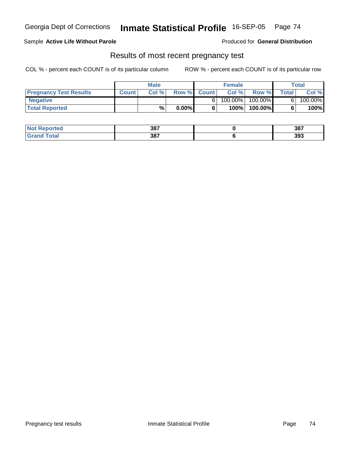### Sample **Active Life Without Parole**

Produced for **General Distribution**

### Results of most recent pregnancy test

|                               | <b>Male</b>  |      |          | <b>Female</b> |            |            | Total        |         |
|-------------------------------|--------------|------|----------|---------------|------------|------------|--------------|---------|
| <b>Pregnancy Test Results</b> | <b>Count</b> | Col% |          | Row % Count   | Col %      | Row %      | <b>Total</b> | Col %   |
| ' Negative                    |              |      |          |               | $100.00\%$ | $100.00\%$ |              | 100.00% |
| <b>Total Reported</b>         |              | %    | $0.00\%$ |               | 100%       | 100.00%    |              | 100%    |

| <b>Not Reported</b>    | 387 | 387 |
|------------------------|-----|-----|
| <b>Total</b><br>. Grar | 387 | 393 |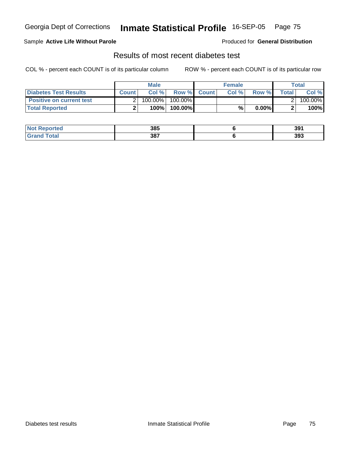### Sample **Active Life Without Parole**

Produced for **General Distribution**

## Results of most recent diabetes test

|                                 |       | <b>Male</b> |                    | <b>Female</b> |          |         | Total   |
|---------------------------------|-------|-------------|--------------------|---------------|----------|---------|---------|
| Diabetes Test Results           | Count | Col %       | <b>Row % Count</b> | Col %         | Row %    | Total l | Col %   |
| <b>Positive on current test</b> |       | $100.00\%$  | 100.00% I          |               |          |         | 100.00% |
| <b>Total Reported</b>           |       | 100%        | 100.00%            | %             | $0.00\%$ |         | 100%    |

| <b>Not Reported</b>    | 385 | 391 |
|------------------------|-----|-----|
| <b>Total</b><br>. Grar | 387 | 393 |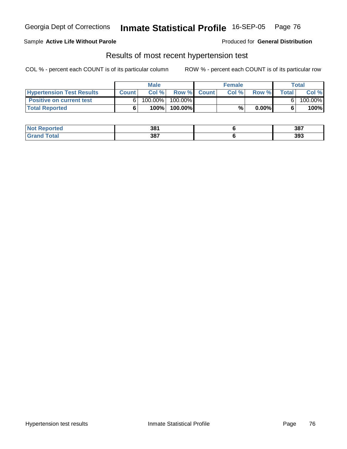#### Sample **Active Life Without Parole**

Produced for **General Distribution**

### Results of most recent hypertension test

|                                  |              | <b>Male</b> |           |             | <b>Female</b> |          |       | Total   |
|----------------------------------|--------------|-------------|-----------|-------------|---------------|----------|-------|---------|
| <b>Hypertension Test Results</b> | <b>Count</b> | Col %       |           | Row % Count | Col%          | Row %    | Total | Col %   |
| <b>Positive on current test</b>  |              | $100.00\%$  | 100.00% I |             |               |          |       | 100.00% |
| <b>Total Reported</b>            |              | 100%        | 100.00%   |             | %             | $0.00\%$ |       | 100%    |

| <b>Not Reported</b>         | 381 | 387 |
|-----------------------------|-----|-----|
| <b>Total</b><br><b>Gran</b> | 387 | 393 |